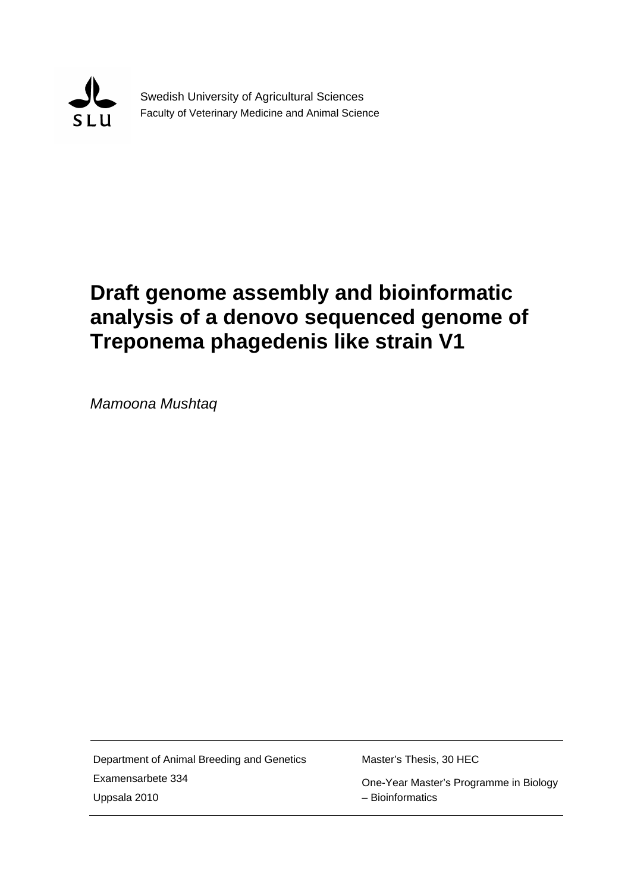

Swedish University of Agricultural Sciences Faculty of Veterinary Medicine and Animal Science

# **Draft genome assembly and bioinformatic analysis of a denovo sequenced genome of Treponema phagedenis like strain V1**

*Mamoona Mushtaq*

Department of Animal Breeding and Genetics Examensarbete 334 Uppsala 2010

Master's Thesis, 30 HEC

 One-Year Master's Programme in Biology – Bioinformatics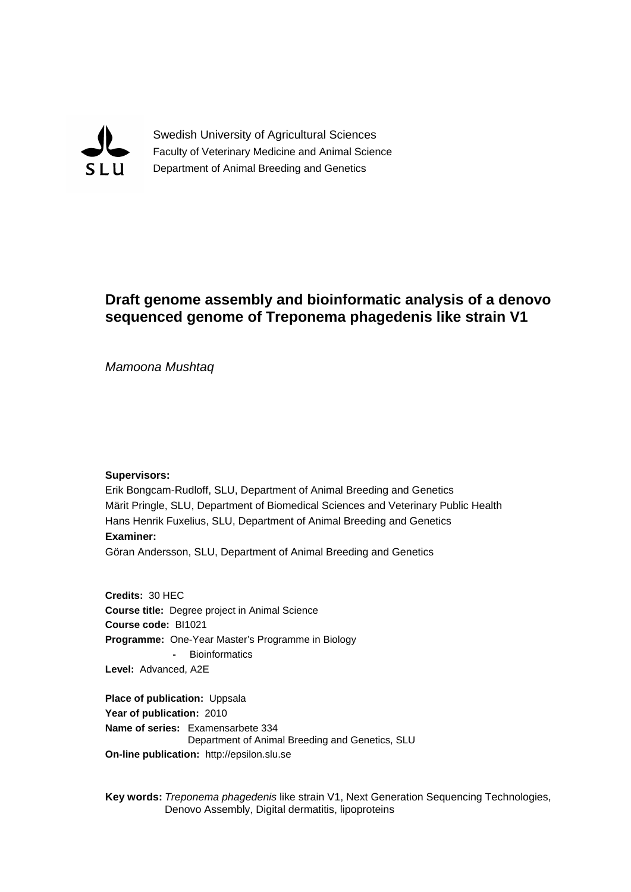

Swedish University of Agricultural Sciences Faculty of Veterinary Medicine and Animal Science Department of Animal Breeding and Genetics

## **Draft genome assembly and bioinformatic analysis of a denovo sequenced genome of Treponema phagedenis like strain V1**

*Mamoona Mushtaq*

#### **Supervisors:**

Erik Bongcam-Rudloff, SLU, Department of Animal Breeding and Genetics Märit Pringle, SLU, Department of Biomedical Sciences and Veterinary Public Health Hans Henrik Fuxelius, SLU, Department of Animal Breeding and Genetics **Examiner:** Göran Andersson, SLU, Department of Animal Breeding and Genetics

**Credits:** 30 HEC

**Course title:** Degree project in Animal Science **Course code:** BI1021 **Programme:** One-Year Master's Programme in Biology **-** Bioinformatics **Level:** Advanced, A2E

**Place of publication:** Uppsala **Year of publication:** 2010 **Name of series:** Examensarbete 334 Department of Animal Breeding and Genetics, SLU **On-line publication:** http://epsilon.slu.se

**Key words:** *Treponema phagedenis* like strain V1, Next Generation Sequencing Technologies, Denovo Assembly, Digital dermatitis, lipoproteins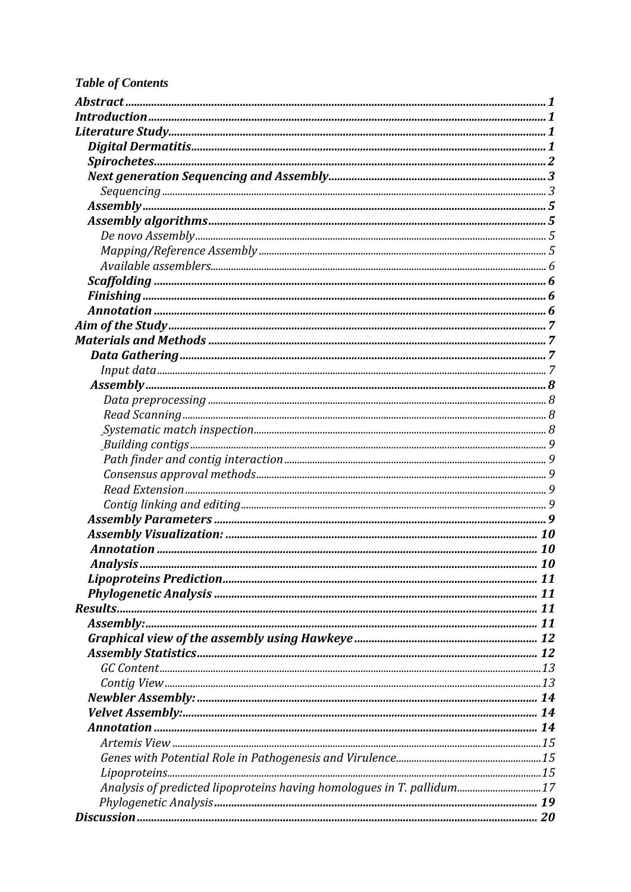# **Table of Contents**

| Analysis of predicted lipoproteins having homologues in T. pallidum17 |  |
|-----------------------------------------------------------------------|--|
|                                                                       |  |
|                                                                       |  |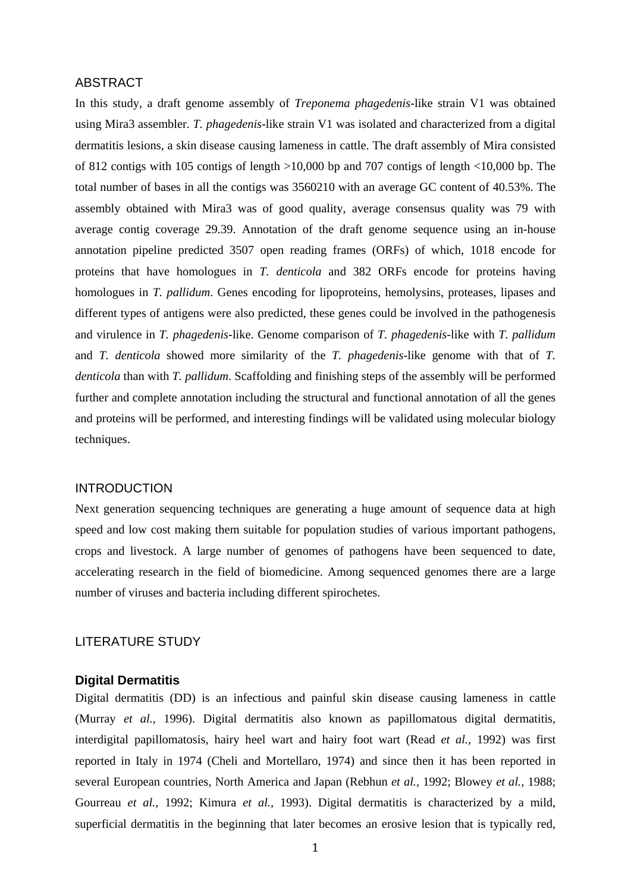#### <span id="page-6-0"></span>ABSTRACT

In this study, a draft genome assembly of *Treponema phagedenis*-like strain V1 was obtained using Mira3 assembler. *T. phagedenis*-like strain V1 was isolated and characterized from a digital dermatitis lesions, a skin disease causing lameness in cattle. The draft assembly of Mira consisted of 812 contigs with 105 contigs of length >10,000 bp and 707 contigs of length <10,000 bp. The total number of bases in all the contigs was 3560210 with an average GC content of 40.53%. The assembly obtained with Mira3 was of good quality, average consensus quality was 79 with average contig coverage 29.39. Annotation of the draft genome sequence using an in-house annotation pipeline predicted 3507 open reading frames (ORFs) of which, 1018 encode for proteins that have homologues in *T. denticola* and 382 ORFs encode for proteins having homologues in *T. pallidum*. Genes encoding for lipoproteins, hemolysins, proteases, lipases and different types of antigens were also predicted, these genes could be involved in the pathogenesis and virulence in *T. phagedenis*-like. Genome comparison of *T. phagedenis*-like with *T. pallidum* and *T. denticola* showed more similarity of the *T. phagedenis*-like genome with that of *T. denticola* than with *T. pallidum*. Scaffolding and finishing steps of the assembly will be performed further and complete annotation including the structural and functional annotation of all the genes and proteins will be performed, and interesting findings will be validated using molecular biology techniques.

#### <span id="page-6-1"></span>INTRODUCTION

Next generation sequencing techniques are generating a huge amount of sequence data at high speed and low cost making them suitable for population studies of various important pathogens, crops and livestock. A large number of genomes of pathogens have been sequenced to date, accelerating research in the field of biomedicine. Among sequenced genomes there are a large number of viruses and bacteria including different spirochetes.

#### <span id="page-6-2"></span>LITERATURE STUDY

#### <span id="page-6-3"></span>**Digital Dermatitis**

Digital dermatitis (DD) is an infectious and painful skin disease causing lameness in cattle (Murray *et al.,* 1996). Digital dermatitis also known as papillomatous digital dermatitis, interdigital papillomatosis, hairy heel wart and hairy foot wart (Read *et al.,* 1992) was first reported in Italy in 1974 (Cheli and Mortellaro, 1974) and since then it has been reported in several European countries, North America and Japan (Rebhun *et al.,* 1992; Blowey *et al.,* 1988; Gourreau *et al.,* 1992; Kimura *et al.,* 1993). Digital dermatitis is characterized by a mild, superficial dermatitis in the beginning that later becomes an erosive lesion that is typically red,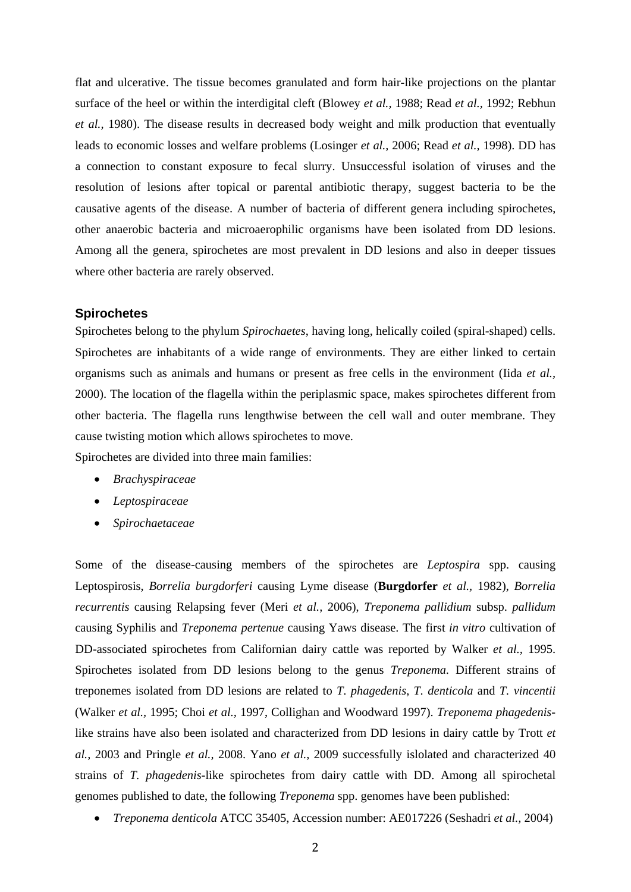flat and ulcerative. The tissue becomes granulated and form hair-like projections on the plantar surface of the heel or within the interdigital cleft (Blowey *et al.,* 1988; Read *et al.,* 1992; Rebhun *et al.,* 1980). The disease results in decreased body weight and milk production that eventually leads to economic losses and welfare problems (Losinger *et al.,* 2006; Read *et al.,* 1998). DD has a connection to constant exposure to fecal slurry. Unsuccessful isolation of viruses and the resolution of lesions after topical or parental antibiotic therapy, suggest bacteria to be the causative agents of the disease. A number of bacteria of different genera including spirochetes, other anaerobic bacteria and microaerophilic organisms have been isolated from DD lesions. Among all the genera, spirochetes are most prevalent in DD lesions and also in deeper tissues where other bacteria are rarely observed.

#### <span id="page-7-0"></span>**Spirochetes**

Spirochetes belong to the phylum *Spirochaetes*, having long, helically coiled (spiral-shaped) cells. Spirochetes are inhabitants of a wide range of environments. They are either linked to certain organisms such as animals and humans or present as free cells in the environment (Iida *et al.,* 2000). The location of the flagella within the periplasmic space, makes spirochetes different from other bacteria. The flagella runs lengthwise between the cell wall and outer membrane. They cause twisting motion which allows spirochetes to move.

Spirochetes are divided into three main families:

- *Brachyspiraceae*
- *Leptospiraceae*
- *Spirochaetaceae*

Some of the disease-causing members of the spirochetes are *Leptospira* spp. causing Leptospirosis, *Borrelia burgdorferi* causing Lyme disease (**Burgdorfer** *et al.,* 1982), *Borrelia recurrentis* causing Relapsing fever (Meri *et al.,* 2006), *Treponema pallidium* subsp. *pallidum*  causing Syphilis and *Treponema pertenue* causing Yaws disease. The first *in vitro* cultivation of DD-associated spirochetes from Californian dairy cattle was reported by Walker *et al.,* 1995. Spirochetes isolated from DD lesions belong to the genus *Treponema*. Different strains of treponemes isolated from DD lesions are related to *T*. *phagedenis*, *T. denticola* and *T. vincentii* (Walker *et al.,* 1995; Choi *et al.,* 1997, Collighan and Woodward 1997). *Treponema phagedenis*like strains have also been isolated and characterized from DD lesions in dairy cattle by Trott *et al.,* 2003 and Pringle *et al.,* 2008. Yano *et al.,* 2009 successfully islolated and characterized 40 strains of *T. phagedenis*-like spirochetes from dairy cattle with DD. Among all spirochetal genomes published to date, the following *Treponema* spp. genomes have been published:

• *Treponema denticola* ATCC 35405, Accession number: AE017226 (Seshadri *et al.,* 2004)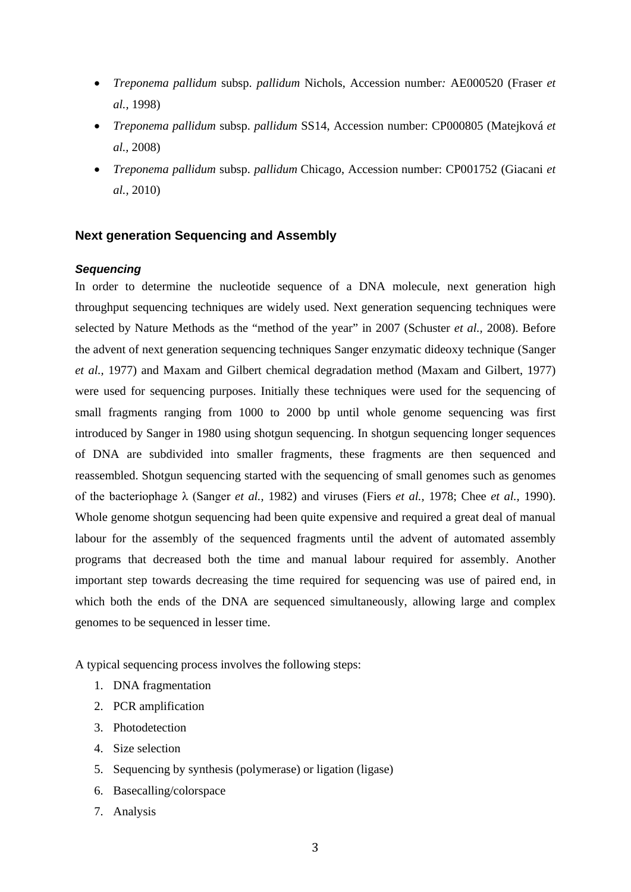- *Treponema pallidum* subsp. *pallidum* Nichols, Accession number*:* AE000520 (Fraser *et al.,* 1998)
- *Treponema pallidum* subsp. *pallidum* SS14, Accession number: CP000805 (Matejková *et al.,* 2008)
- *Treponema pallidum* subsp. *pallidum* Chicago, Accession number: CP001752 (Giacani *et al.,* 2010)

#### <span id="page-8-0"></span>**Next generation Sequencing and Assembly**

#### <span id="page-8-1"></span>*Sequencing*

In order to determine the nucleotide sequence of a DNA molecule, next generation high throughput sequencing techniques are widely used. Next generation sequencing techniques were selected by Nature Methods as the "method of the year" in 2007 (Schuster *et al.,* 2008). Before the advent of next generation sequencing techniques Sanger enzymatic dideoxy technique (Sanger *et al.,* 1977) and Maxam and Gilbert chemical degradation method (Maxam and Gilbert, 1977) were used for sequencing purposes. Initially these techniques were used for the sequencing of small fragments ranging from 1000 to 2000 bp until whole genome sequencing was first introduced by Sanger in 1980 using shotgun sequencing. In shotgun sequencing longer sequences of DNA are subdivided into smaller fragments, these fragments are then sequenced and reassembled. Shotgun sequencing started with the sequencing of small genomes such as genomes of the bacteriophage λ (Sanger *et al.,* 1982) and viruses (Fiers *et al.,* 1978; Chee *et al.,* 1990). Whole genome shotgun sequencing had been quite expensive and required a great deal of manual labour for the assembly of the sequenced fragments until the advent of automated assembly programs that decreased both the time and manual labour required for assembly. Another important step towards decreasing the time required for sequencing was use of paired end, in which both the ends of the DNA are sequenced simultaneously, allowing large and complex genomes to be sequenced in lesser time.

A typical sequencing process involves the following steps:

- 1. DNA fragmentation
- 2. PCR amplification
- 3. Photodetection
- 4. Size selection
- 5. Sequencing by synthesis (polymerase) or ligation (ligase)
- 6. Basecalling/colorspace
- 7. Analysis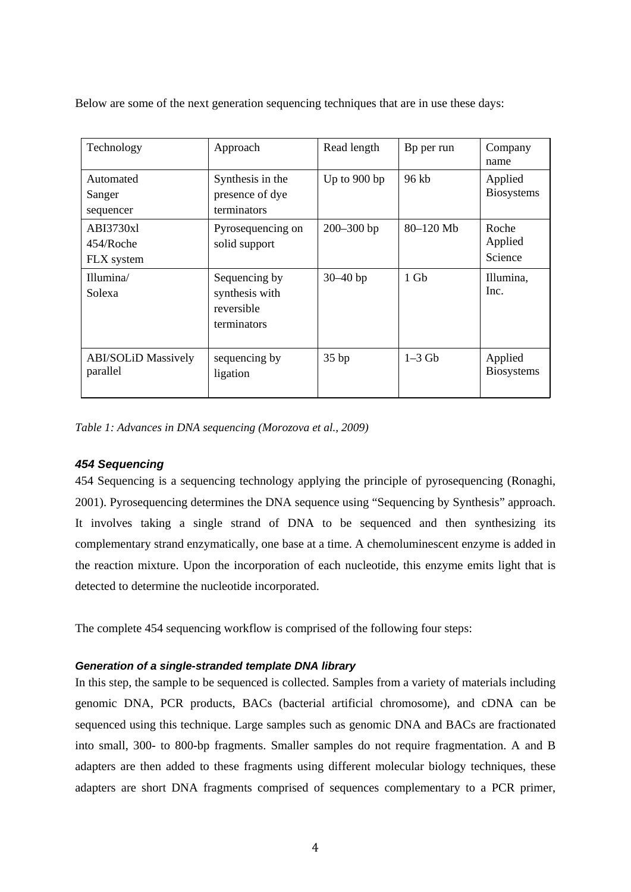Below are some of the next generation sequencing techniques that are in use these days:

| Technology                              | Approach                                                     | Read length    | Bp per run | Company<br>name              |  |
|-----------------------------------------|--------------------------------------------------------------|----------------|------------|------------------------------|--|
| Automated<br>Sanger<br>sequencer        | Synthesis in the<br>presence of dye<br>terminators           | Up to 900 bp   | 96 kb      | Applied<br><b>Biosystems</b> |  |
| ABI3730xl<br>$454/R$ oche<br>FLX system | Pyrosequencing on<br>solid support                           | $200 - 300$ bp | 80-120 Mb  | Roche<br>Applied<br>Science  |  |
| Illumina/<br>Solexa                     | Sequencing by<br>synthesis with<br>reversible<br>terminators | $30 - 40$ bp   | $1$ Gb     | Illumina,<br>Inc.            |  |
| <b>ABI/SOLiD Massively</b><br>parallel  | sequencing by<br>ligation                                    | 35bp           | $1-3$ Gb   | Applied<br><b>Biosystems</b> |  |

*Table 1: Advances in DNA sequencing (Morozova et al., 2009)*

### *454 Sequencing*

454 Sequencing is a sequencing technology applying the principle of pyrosequencing (Ronaghi, 2001). Pyrosequencing determines the DNA sequence using "Sequencing by Synthesis" approach. It involves taking a single strand of DNA to be sequenced and then synthesizing its complementary strand enzymatically, one base at a time. A chemoluminescent enzyme is added in the reaction mixture. Upon the incorporation of each nucleotide, this enzyme emits light that is detected to determine the nucleotide incorporated.

The complete 454 sequencing workflow is comprised of the following four steps:

#### *Generation of a single-stranded template DNA library*

In this step, the sample to be sequenced is collected. Samples from a variety of materials including genomic DNA, PCR products, BACs (bacterial artificial chromosome), and cDNA can be sequenced using this technique. Large samples such as genomic DNA and BACs are fractionated into small, 300- to 800-bp fragments. Smaller samples do not require fragmentation. A and B adapters are then added to these fragments using different molecular biology techniques, these adapters are short DNA fragments comprised of sequences complementary to a PCR primer,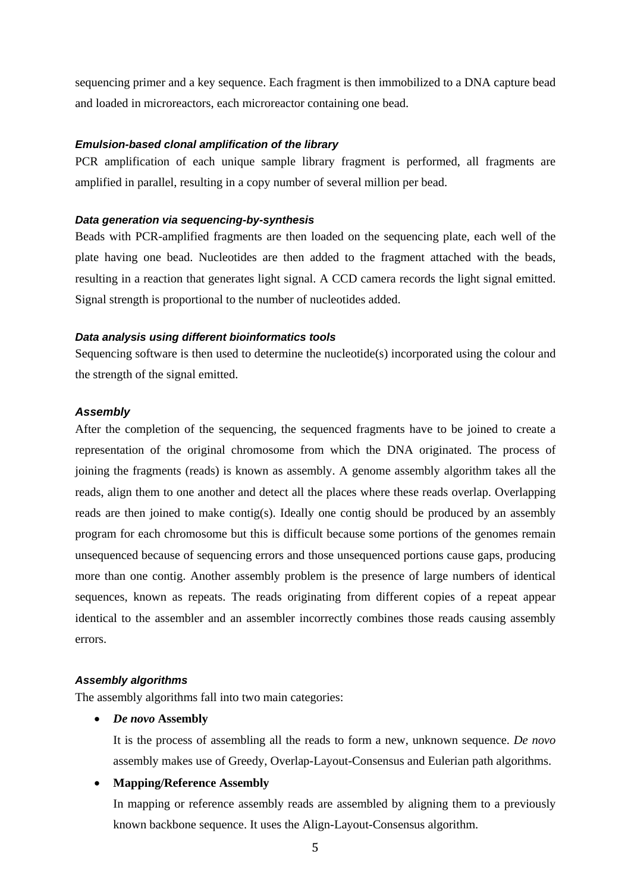sequencing primer and a key sequence. Each fragment is then immobilized to a DNA capture bead and loaded in microreactors, each microreactor containing one bead.

#### *Emulsion-based clonal amplification of the library*

PCR amplification of each unique sample library fragment is performed, all fragments are amplified in parallel, resulting in a copy number of several million per bead.

#### *Data generation via sequencing-by-synthesis*

Beads with PCR-amplified fragments are then loaded on the sequencing plate, each well of the plate having one bead. Nucleotides are then added to the fragment attached with the beads, resulting in a reaction that generates light signal. A CCD camera records the light signal emitted. Signal strength is proportional to the number of nucleotides added.

#### *Data analysis using different bioinformatics tools*

Sequencing software is then used to determine the nucleotide(s) incorporated using the colour and the strength of the signal emitted.

#### <span id="page-10-0"></span>*Assembly*

After the completion of the sequencing, the sequenced fragments have to be joined to create a representation of the original chromosome from which the DNA originated. The process of joining the fragments (reads) is known as assembly. A genome assembly algorithm takes all the reads, align them to one another and detect all the places where these reads overlap. Overlapping reads are then joined to make contig(s). Ideally one contig should be produced by an assembly program for each chromosome but this is difficult because some portions of the genomes remain unsequenced because of sequencing errors and those unsequenced portions cause gaps, producing more than one contig. Another assembly problem is the presence of large numbers of identical sequences, known as repeats. The reads originating from different copies of a repeat appear identical to the assembler and an assembler incorrectly combines those reads causing assembly errors.

#### <span id="page-10-1"></span>*Assembly algorithms*

<span id="page-10-2"></span>The assembly algorithms fall into two main categories:

#### • *De novo* **Assembly**

It is the process of assembling all the reads to form a new, unknown sequence. *De novo* assembly makes use of Greedy, Overlap-Layout-Consensus and Eulerian path algorithms.

#### <span id="page-10-3"></span>• **Mapping/Reference Assembly**

In mapping or reference assembly reads are assembled by aligning them to a previously known backbone sequence. It uses the Align-Layout-Consensus algorithm.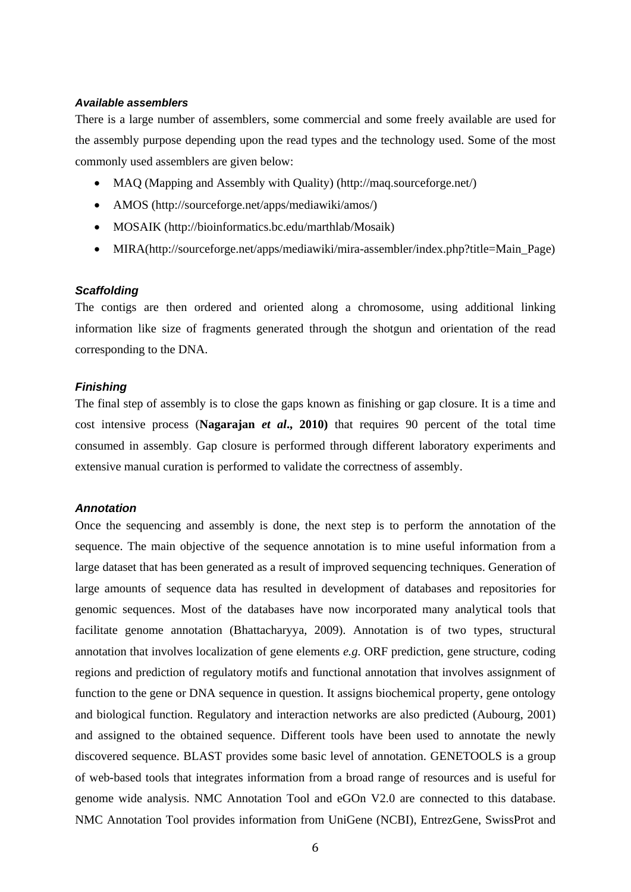#### <span id="page-11-0"></span>*Available assemblers*

There is a large number of assemblers, some commercial and some freely available are used for the assembly purpose depending upon the read types and the technology used. Some of the most commonly used assemblers are given below:

- MAQ (Mapping and Assembly with Quality) (http://maq.sourceforge.net/)
- AMOS (http://sourceforge.net/apps/mediawiki/amos/)
- MOSAIK (http://bioinformatics.bc.edu/marthlab/Mosaik)
- MIRA(http://sourceforge.net/apps/mediawiki/mira-assembler/index.php?title=Main Page)

#### <span id="page-11-1"></span>*Scaffolding*

The contigs are then ordered and oriented along a chromosome, using additional linking information like size of fragments generated through the shotgun and orientation of the read corresponding to the DNA.

#### <span id="page-11-2"></span>*Finishing*

The final step of assembly is to close the gaps known as finishing or gap closure. It is a time and cost intensive process (**Nagarajan** *et al***., 2010)** that requires 90 percent of the total time consumed in assembly. Gap closure is performed through different laboratory experiments and extensive manual curation is performed to validate the correctness of assembly.

#### <span id="page-11-3"></span>*Annotation*

Once the sequencing and assembly is done, the next step is to perform the annotation of the sequence. The main objective of the sequence annotation is to mine useful information from a large dataset that has been generated as a result of improved sequencing techniques. Generation of large amounts of sequence data has resulted in development of databases and repositories for genomic sequences. Most of the databases have now incorporated many analytical tools that facilitate genome annotation (Bhattacharyya, 2009). Annotation is of two types, structural annotation that involves localization of gene elements *e.g*. ORF prediction, gene structure, coding regions and prediction of regulatory motifs and functional annotation that involves assignment of function to the gene or DNA sequence in question. It assigns biochemical property, gene ontology and biological function. Regulatory and interaction networks are also predicted (Aubourg, 2001) and assigned to the obtained sequence. Different tools have been used to annotate the newly discovered sequence. BLAST provides some basic level of annotation. GENETOOLS is a group of web-based tools that integrates information from a broad range of resources and is useful for genome wide analysis. NMC Annotation Tool and eGOn V2.0 are connected to this database. NMC Annotation Tool provides information from UniGene (NCBI), EntrezGene, SwissProt and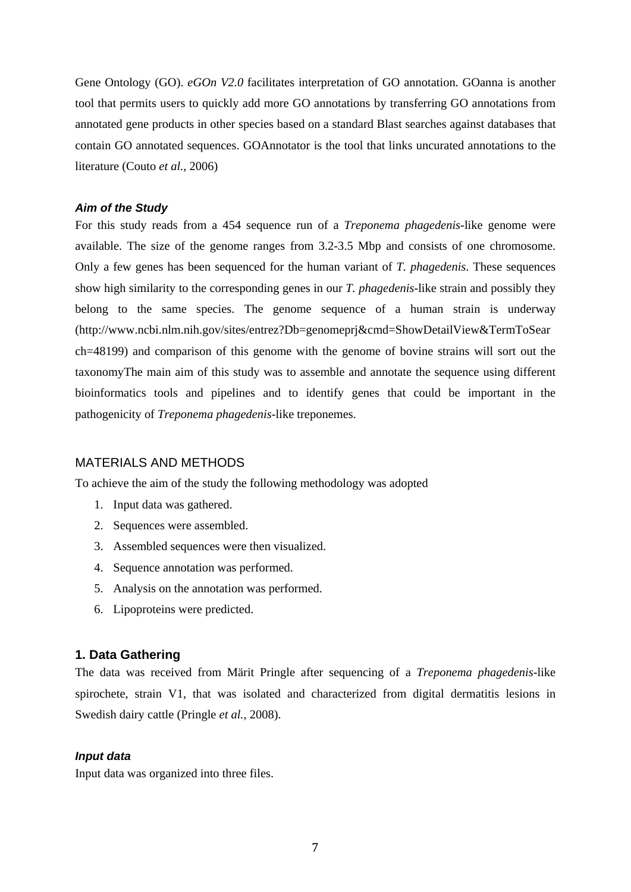Gene Ontology (GO). *eGOn V2.0* facilitates interpretation of GO annotation. GOanna is another tool that permits users to quickly add more GO annotations by transferring GO annotations from annotated gene products in other species based on a standard Blast searches against databases that contain GO annotated sequences. GOAnnotator is the tool that links uncurated annotations to the literature (Couto *et al.,* 2006)

#### <span id="page-12-0"></span>*Aim of the Study*

For this study reads from a 454 sequence run of a *Treponema phagedenis*-like genome were available. The size of the genome ranges from 3.2-3.5 Mbp and consists of one chromosome. Only a few genes has been sequenced for the human variant of *T. phagedenis*. These sequences show high similarity to the corresponding genes in our *T. phagedenis*-like strain and possibly they belong to the same species. The genome sequence of a human strain is underway [\(http://www.ncbi.nlm.nih.gov/sites/entrez?Db=genomeprj&cmd=ShowDetailView&TermToSear](http://www.ncbi.nlm.nih.gov/sites/entrez?Db=genomeprj&cmd=ShowDetailView&TermToSearch=48199) [ch=48199\)](http://www.ncbi.nlm.nih.gov/sites/entrez?Db=genomeprj&cmd=ShowDetailView&TermToSearch=48199) and comparison of this genome with the genome of bovine strains will sort out the taxonomyThe main aim of this study was to assemble and annotate the sequence using different bioinformatics tools and pipelines and to identify genes that could be important in the pathogenicity of *Treponema phagedenis-*like treponemes.

#### <span id="page-12-1"></span>MATERIALS AND METHODS

To achieve the aim of the study the following methodology was adopted

- 1. Input data was gathered.
- 2. Sequences were assembled.
- 3. Assembled sequences were then visualized.
- 4. Sequence annotation was performed.
- 5. Analysis on the annotation was performed.
- 6. Lipoproteins were predicted.

#### <span id="page-12-2"></span>**1. Data Gathering**

The data was received from Märit Pringle after sequencing of a *Treponema phagedenis*-like spirochete, strain V1, that was isolated and characterized from digital dermatitis lesions in Swedish dairy cattle (Pringle *et al.,* 2008).

#### <span id="page-12-3"></span>*Input data*

Input data was organized into three files.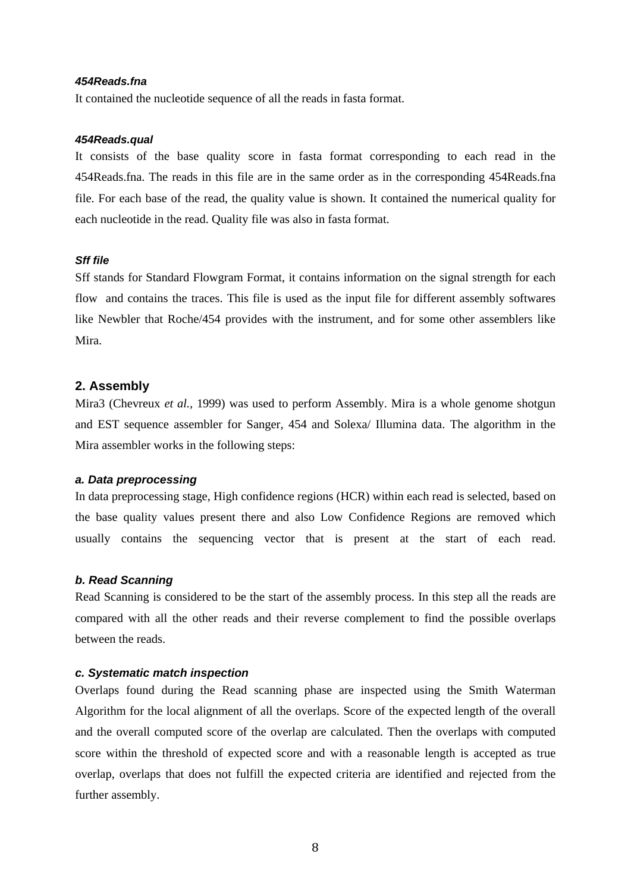#### *454Reads.fna*

It contained the nucleotide sequence of all the reads in fasta format.

#### *454Reads.qual*

It consists of the base quality score in fasta format corresponding to each read in the 454Reads.fna. The reads in this file are in the same order as in the corresponding 454Reads.fna file. For each base of the read, the quality value is shown. It contained the numerical quality for each nucleotide in the read. Quality file was also in fasta format.

#### *Sff file*

Sff stands for Standard Flowgram Format, it contains information on the signal strength for each flow and contains the traces. This file is used as the input file for different assembly softwares like Newbler that Roche/454 provides with the instrument, and for some other assemblers like Mira.

#### <span id="page-13-0"></span>**2. Assembly**

Mira3 (Chevreux *et al.,* 1999) was used to perform Assembly. Mira is a whole genome shotgun and EST sequence assembler for Sanger, 454 and Solexa/ Illumina data. The algorithm in the Mira assembler works in the following steps:

#### <span id="page-13-1"></span>*a. Data preprocessing*

In data preprocessing stage, High confidence regions (HCR) within each read is selected, based on the base quality values present there and also Low Confidence Regions are removed which usually contains the sequencing vector that is present at the start of each read.

#### <span id="page-13-2"></span>*b. Read Scanning*

Read Scanning is considered to be the start of the assembly process. In this step all the reads are compared with all the other reads and their reverse complement to find the possible overlaps between the reads.

#### <span id="page-13-3"></span>*c. Systematic match inspection*

Overlaps found during the Read scanning phase are inspected using the Smith Waterman Algorithm for the local alignment of all the overlaps. Score of the expected length of the overall and the overall computed score of the overlap are calculated. Then the overlaps with computed score within the threshold of expected score and with a reasonable length is accepted as true overlap, overlaps that does not fulfill the expected criteria are identified and rejected from the further assembly.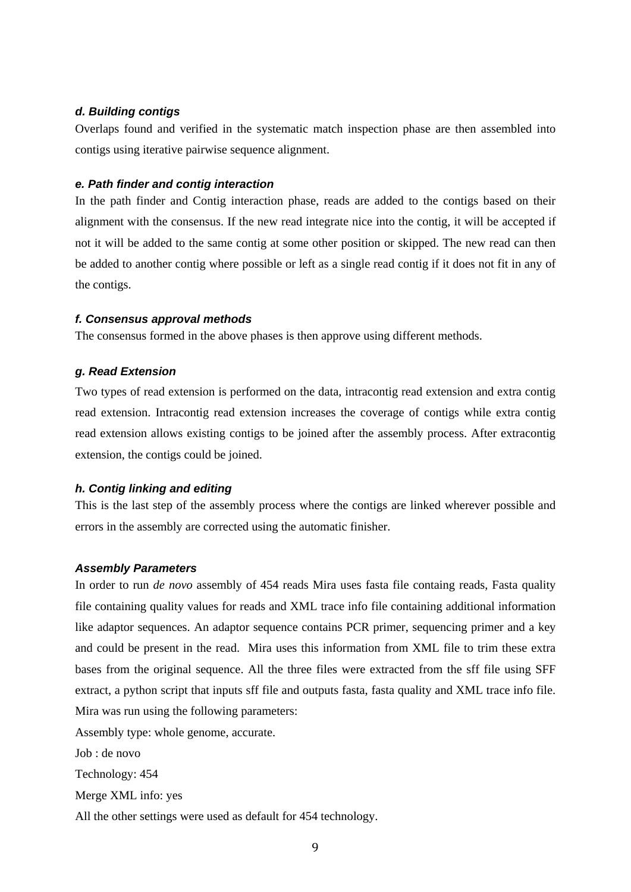#### <span id="page-14-0"></span>*d. Building contigs*

Overlaps found and verified in the systematic match inspection phase are then assembled into contigs using iterative pairwise sequence alignment.

#### <span id="page-14-1"></span>*e. Path finder and contig interaction*

In the path finder and Contig interaction phase, reads are added to the contigs based on their alignment with the consensus. If the new read integrate nice into the contig, it will be accepted if not it will be added to the same contig at some other position or skipped. The new read can then be added to another contig where possible or left as a single read contig if it does not fit in any of the contigs.

#### <span id="page-14-2"></span>*f. Consensus approval methods*

The consensus formed in the above phases is then approve using different methods.

#### <span id="page-14-3"></span>*g. Read Extension*

Two types of read extension is performed on the data, intracontig read extension and extra contig read extension. Intracontig read extension increases the coverage of contigs while extra contig read extension allows existing contigs to be joined after the assembly process. After extracontig extension, the contigs could be joined.

#### <span id="page-14-4"></span>*h. Contig linking and editing*

This is the last step of the assembly process where the contigs are linked wherever possible and errors in the assembly are corrected using the automatic finisher.

#### <span id="page-14-5"></span>*Assembly Parameters*

In order to run *de novo* assembly of 454 reads Mira uses fasta file containg reads, Fasta quality file containing quality values for reads and XML trace info file containing additional information like adaptor sequences. An adaptor sequence contains PCR primer, sequencing primer and a key and could be present in the read. Mira uses this information from XML file to trim these extra bases from the original sequence. All the three files were extracted from the sff file using SFF extract, a python script that inputs sff file and outputs fasta, fasta quality and XML trace info file. Mira was run using the following parameters:

Assembly type: whole genome, accurate.

Job : de novo Technology: 454 Merge XML info: yes

All the other settings were used as default for 454 technology.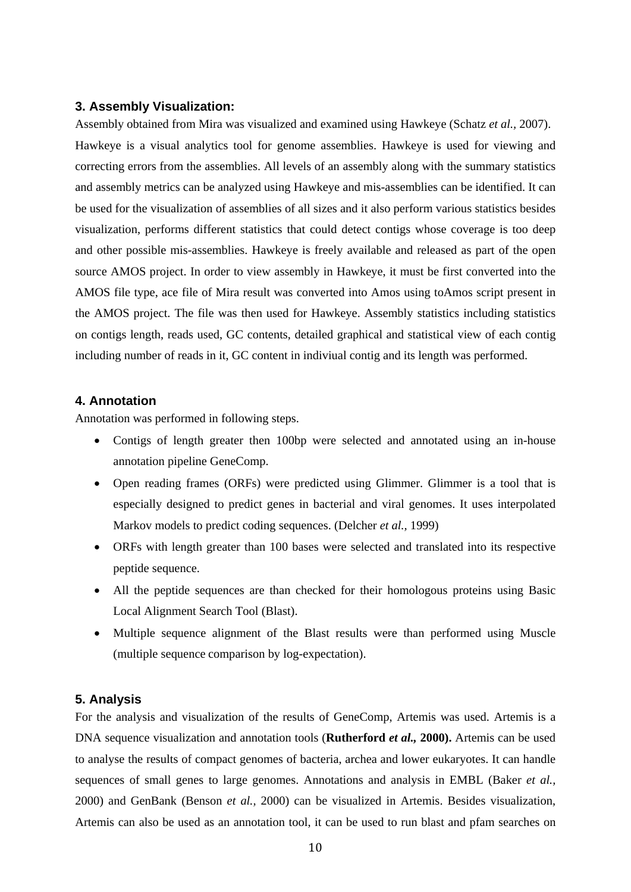#### <span id="page-15-0"></span>**3. Assembly Visualization:**

Assembly obtained from Mira was visualized and examined using Hawkeye (Schatz *et al.,* 2007). Hawkeye is a visual analytics tool for genome assemblies. Hawkeye is used for viewing and correcting errors from the assemblies. All levels of an assembly along with the summary statistics and assembly metrics can be analyzed using Hawkeye and mis-assemblies can be identified. It can be used for the visualization of assemblies of all sizes and it also perform various statistics besides visualization, performs different statistics that could detect contigs whose coverage is too deep and other possible mis-assemblies. Hawkeye is freely available and released as part of the open source AMOS project. In order to view assembly in Hawkeye, it must be first converted into the AMOS file type, ace file of Mira result was converted into Amos using toAmos script present in the AMOS project. The file was then used for Hawkeye. Assembly statistics including statistics on contigs length, reads used, GC contents, detailed graphical and statistical view of each contig including number of reads in it, GC content in indiviual contig and its length was performed.

#### <span id="page-15-1"></span>**4. Annotation**

Annotation was performed in following steps.

- Contigs of length greater then 100bp were selected and annotated using an in-house annotation pipeline GeneComp.
- Open reading frames (ORFs) were predicted using Glimmer. Glimmer is a tool that is especially designed to predict genes in bacterial and viral genomes. It uses interpolated Markov models to predict coding sequences. (Delcher *et al.,* 1999)
- ORFs with length greater than 100 bases were selected and translated into its respective peptide sequence.
- All the peptide sequences are than checked for their homologous proteins using Basic Local Alignment Search Tool (Blast).
- Multiple sequence alignment of the Blast results were than performed using Muscle (multiple sequence comparison by log-expectation).

#### <span id="page-15-2"></span>**5. Analysis**

For the analysis and visualization of the results of GeneComp, Artemis was used. Artemis is a DNA sequence visualization and annotation tools (**Rutherford** *et al.,* **2000).** Artemis can be used to analyse the results of compact genomes of bacteria, archea and lower eukaryotes. It can handle sequences of small genes to large genomes. Annotations and analysis in EMBL (Baker *et al.,* 2000) and GenBank (Benson *et al.,* 2000) can be visualized in Artemis. Besides visualization, Artemis can also be used as an annotation tool, it can be used to run blast and pfam searches on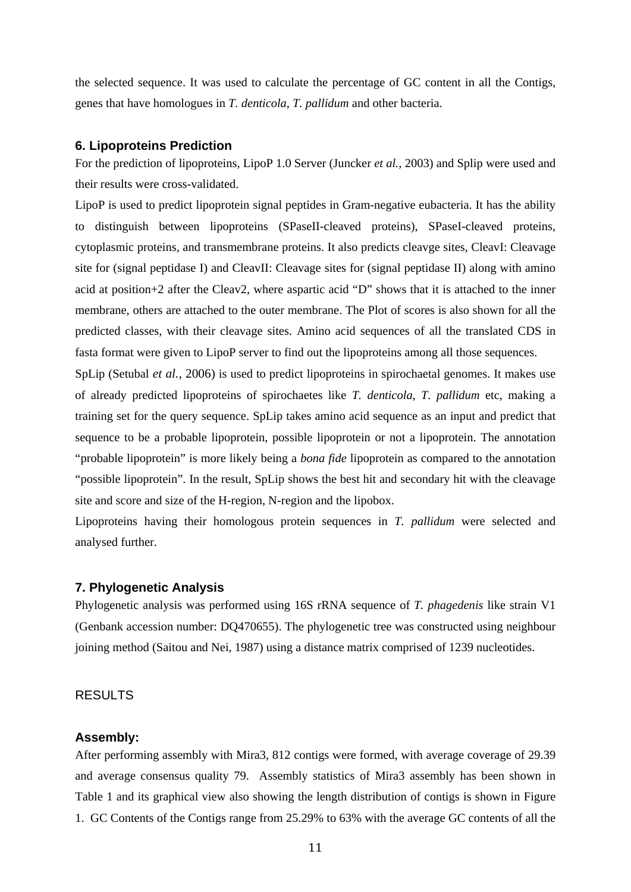the selected sequence. It was used to calculate the percentage of GC content in all the Contigs, genes that have homologues in *T. denticola*, *T. pallidum* and other bacteria.

#### <span id="page-16-0"></span>**6. Lipoproteins Prediction**

For the prediction of lipoproteins, LipoP 1.0 Server (Juncker *et al.,* 2003) and Splip were used and their results were cross-validated.

LipoP is used to predict lipoprotein signal peptides in Gram-negative eubacteria. It has the ability to distinguish between lipoproteins (SPaseII-cleaved proteins), SPaseI-cleaved proteins, cytoplasmic proteins, and transmembrane proteins. It also predicts cleavge sites, CleavI: Cleavage site for (signal peptidase I) and CleavII: Cleavage sites for (signal peptidase II) along with amino acid at position+2 after the Cleav2, where aspartic acid "D" shows that it is attached to the inner membrane, others are attached to the outer membrane. The Plot of scores is also shown for all the predicted classes, with their cleavage sites. Amino acid sequences of all the translated CDS in fasta format were given to LipoP server to find out the lipoproteins among all those sequences.

SpLip (Setubal *et al.,* 2006) is used to predict lipoproteins in spirochaetal genomes. It makes use of already predicted lipoproteins of spirochaetes like *T. denticola*, *T. pallidum* etc, making a training set for the query sequence. SpLip takes amino acid sequence as an input and predict that sequence to be a probable lipoprotein, possible lipoprotein or not a lipoprotein. The annotation "probable lipoprotein" is more likely being a *bona fide* lipoprotein as compared to the annotation "possible lipoprotein". In the result, SpLip shows the best hit and secondary hit with the cleavage site and score and size of the H-region, N-region and the lipobox.

Lipoproteins having their homologous protein sequences in *T. pallidum* were selected and analysed further.

#### <span id="page-16-1"></span>**7. Phylogenetic Analysis**

Phylogenetic analysis was performed using 16S rRNA sequence of *T. phagedenis* like strain V1 (Genbank accession number: DQ470655). The phylogenetic tree was constructed using neighbour joining method (Saitou and Nei, 1987) using a distance matrix comprised of 1239 nucleotides.

#### <span id="page-16-2"></span>RESULTS

#### <span id="page-16-3"></span>**Assembly:**

After performing assembly with Mira3, 812 contigs were formed, with average coverage of 29.39 and average consensus quality 79. Assembly statistics of Mira3 assembly has been shown in Table 1 and its graphical view also showing the length distribution of contigs is shown in Figure 1. GC Contents of the Contigs range from 25.29% to 63% with the average GC contents of all the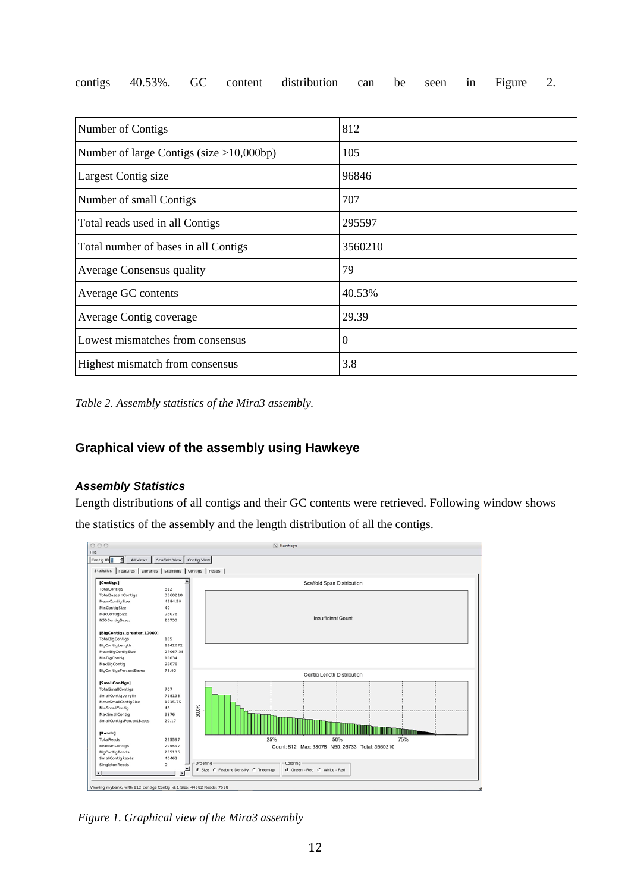|  |  | contigs 40.53%. GC content distribution can be seen in Figure 2. |  |  |  |
|--|--|------------------------------------------------------------------|--|--|--|
|  |  |                                                                  |  |  |  |

| Number of Contigs                           | 812     |
|---------------------------------------------|---------|
| Number of large Contigs (size $>10,000bp$ ) | 105     |
| Largest Contig size                         | 96846   |
| Number of small Contigs                     | 707     |
| Total reads used in all Contigs             | 295597  |
| Total number of bases in all Contigs        | 3560210 |
| <b>Average Consensus quality</b>            | 79      |
| Average GC contents                         | 40.53%  |
| Average Contig coverage                     | 29.39   |
| Lowest mismatches from consensus            | 0       |
| Highest mismatch from consensus             | 3.8     |

*Table 2. Assembly statistics of the Mira3 assembly.*

### <span id="page-17-0"></span>**Graphical view of the assembly using Hawkeye**

### <span id="page-17-1"></span>*Assembly Statistics*

Length distributions of all contigs and their GC contents were retrieved. Following window shows the statistics of the assembly and the length distribution of all the contigs.



*Figure 1. Graphical view of the Mira3 assembly*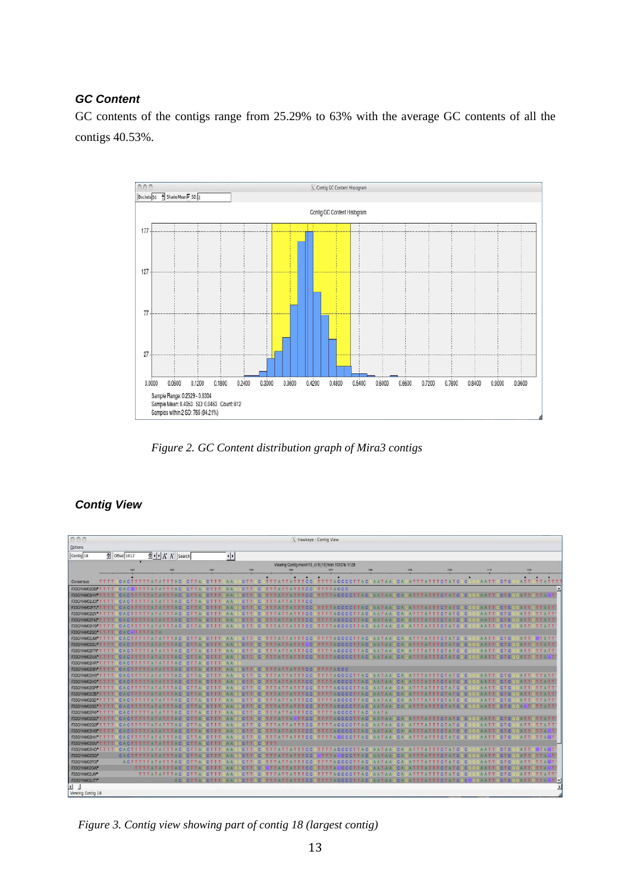#### <span id="page-18-0"></span>*GC Content*

GC contents of the contigs range from 25.29% to 63% with the average GC contents of all the contigs 40.53%.



*Figure 2. GC Content distribution graph of Mira3 contigs*

### <span id="page-18-1"></span>*Contig View*

| 000                            |                  |                           |                                                               |                    |                                                |                                           |               |                               | X Hawkeye : Contig View  |                                                    |                                                                              |              |                              |                           |                |                              |                 |            |                                  |
|--------------------------------|------------------|---------------------------|---------------------------------------------------------------|--------------------|------------------------------------------------|-------------------------------------------|---------------|-------------------------------|--------------------------|----------------------------------------------------|------------------------------------------------------------------------------|--------------|------------------------------|---------------------------|----------------|------------------------------|-----------------|------------|----------------------------------|
|                                |                  |                           |                                                               |                    |                                                |                                           |               |                               |                          |                                                    |                                                                              |              |                              |                           |                |                              |                 |            |                                  |
| Options                        |                  |                           |                                                               |                    |                                                |                                           |               |                               |                          |                                                    |                                                                              |              |                              |                           |                |                              |                 |            |                                  |
| Contig 18                      |                  | $\frac{1}{2}$ Offset 1012 | 호• A A Search                                                 |                    |                                                | $\left  \cdot \right $                    |               |                               |                          |                                                    |                                                                              |              |                              |                           |                |                              |                 |            |                                  |
|                                |                  |                           |                                                               |                    |                                                |                                           |               |                               |                          | Viewing Contig march 13 c18 [18] from 1012 to 1128 |                                                                              |              |                              |                           |                |                              |                 |            |                                  |
|                                |                  | vor                       | sono                                                          |                    | <b>KM</b>                                      |                                           | 7000          |                               |                          | <b>VIDO</b>                                        |                                                                              | <b>VMO</b>   | <b>STOP</b>                  | <b>TIOD</b>               |                | 1110                         |                 | 1100       |                                  |
|                                |                  |                           |                                                               |                    |                                                |                                           |               |                               |                          |                                                    |                                                                              |              |                              |                           |                |                              |                 |            |                                  |
| Consensus                      | mora             |                           | <b>CACTITITIATATITAC</b>                                      |                    | CIJA                                           | <b>CTT</b>                                | <b>C</b>      | <b>TTTATTATTTCC</b>           |                          |                                                    | <b>TTTTACCCCTTACCAATAA</b>                                                   |              | <b>CA</b>                    | <b>TTCTATC</b>            | $\circ$        | <b>AATT</b>                  | <b>CTC</b>      |            | <b>ATTETTATTI</b>                |
| F33GYHM02GBPTTTT               |                  | CAC                       | <b>TITTATATITAC</b>                                           |                    | CTTA<br><b>CTTT</b>                            | <b>CTT</b><br><b>IA A</b>                 | ю             |                               | <b>TTTCC</b>             | <b>TTTTACCC</b>                                    |                                                                              |              |                              |                           |                |                              |                 |            |                                  |
| F33GYHM02HYM                   |                  |                           | <b>CACTERIE AIRMIENT</b>                                      |                    |                                                | <b>IC-T-T-C</b>                           |               |                               | <b>ETHIC CO</b>          |                                                    | STITIA CCCCTTA C GAATA A GCA GATTTATTICTATCGC                                |              |                              |                           |                | <b>BGGWATTGCTCGGATTGTTA-</b> |                 |            |                                  |
| F33GYHM02JCf*<br>F33GYHM02FTL* |                  |                           | <b>CACITITIATATIAC</b><br><b>THE GC AGE THE FALLAGE BEACO</b> |                    | CTTA<br><b>CTTTT</b><br>$-0.01$ $+0.1$         | CTT<br>A A<br>CTTTGAAGGCTTGGGTTTATTATTTGC | <b>ICI</b>    | <b>TTTATTATTTCC</b>           |                          |                                                    | 61 T T T A C D C C T T A C G A A T A A G C A G A T T T A T T T C T A T C G C |              |                              |                           |                | <b>GGAATTGCKCGGATTGTTATT</b> |                 |            |                                  |
| F33GYHM02IZV*                  |                  |                           |                                                               | TITAC              | <b>CITTA</b><br><b>CTTT</b>                    | <b>CTT</b>                                |               |                               |                          |                                                    | <b>TTTTACCCCTTAC</b>                                                         | AATAA        | <b>ICA</b>                   | <b>ATTTATTTCTATC</b>      | $\overline{c}$ | AATT                         | CTC.            |            | <b>ATTGTTATT</b>                 |
| F33GYHM02F42                   |                  |                           |                                                               |                    |                                                |                                           |               |                               | <b>TTGC</b>              |                                                    | <b>TTTACCCCTTACL</b>                                                         |              |                              |                           |                |                              | C <sub>LO</sub> |            | TTATI                            |
| F33GYHM02H0f                   |                  |                           | <b>CACTITIFATATIAC</b>                                        |                    | <b>CTTA</b><br><b>CTTT</b>                     | <b>CTT</b>                                |               |                               | га тос                   |                                                    | <b>TTTACCCCTTAC</b>                                                          |              |                              |                           | псі<br>.c      | <b>AATT</b>                  | <b>CTC</b>      | <b>ATT</b> | T T A T T                        |
| F33GYHM02GO TTTTGCAC-TTTTATA   |                  |                           |                                                               |                    |                                                |                                           |               |                               |                          |                                                    |                                                                              |              |                              |                           |                |                              |                 |            |                                  |
| F33GYHM02JMr <sup>4</sup>      |                  | <b>CACIMENT</b>           |                                                               | TTAC               | CTTA<br><b>CTTT</b>                            | <b>CTT</b>                                | ĸе            | <b>TTTATTATTCC</b>            |                          |                                                    | <b>TTTTACCCCTTAC</b>                                                         | AATAA        | IC A                         | <b>ATTTATTTCTATC</b>      | $\circ$        | <b>AATT</b>                  | <b>CTC</b>      |            | ATT & TATT                       |
| F33GYHM02GU*                   |                  |                           | <b>IDAGET IT I A LATELYAOU</b>                                |                    |                                                |                                           |               |                               | <b>C</b>                 |                                                    | <b>IT T T A C C C C T T A C L</b>                                            | <b>AATAA</b> |                              | <b>ATTTATTCTATC</b>       |                | <b>IAAT</b>                  |                 |            | TTAT                             |
| F33GYHM02F7I*                  |                  | <b>CACTTTTTAT</b>         |                                                               | TTAC               | <b>CTTA</b><br><b>CTTT</b>                     | <b>CTT</b>                                | iC.           | <b>TITATTATTICC</b>           |                          |                                                    | <b>TTTTACCCCTTAC</b>                                                         | AATAA        | CA                           | <b>ATTTATTTCTATC</b>      | <b>O</b>       | <b>AATT</b>                  | <b>CTC</b>      | <b>ATT</b> | TTATT                            |
| F33GYHM02IU6*                  |                  |                           |                                                               |                    | FITTIGDA CTITTITE AT A TELA CGCT TA GC FTT GAA |                                           |               |                               |                          |                                                    |                                                                              |              |                              |                           |                | GGAATTGCTCGGATTGTTA-T        |                 |            |                                  |
| F33GYHM02HR <sup>4</sup>       |                  |                           | <b>CACTTITTATATTIAC</b>                                       |                    | <b>CTTA</b><br>CTTTCAA                         |                                           |               |                               |                          |                                                    |                                                                              |              |                              |                           |                |                              |                 |            |                                  |
| F33GYHM02I8Y                   |                  |                           | <b>ATTTACK</b>                                                |                    | <b>CTTAGOTTTGAA</b>                            |                                           |               | SCCTTCCGTTTATTATTTCCCTTTTACCC |                          |                                                    |                                                                              |              |                              |                           |                |                              |                 |            |                                  |
| F33GYHM02IH0*                  |                  | CACTT                     |                                                               | TTAC<br><b>COL</b> | <b>CTTT</b>                                    | <b>CTT</b>                                |               | <b>TITATTATTTCC</b>           |                          |                                                    | <b>TTTTACCCCTTAC CAATAACCA</b>                                               |              |                              | ATTTATTTCTATCCC           |                | AATT                         | <b>CTC</b>      |            | <b>ATT STTATT</b>                |
| F33GYHM02HO*                   |                  |                           |                                                               |                    | <b>THE GOACTELLE AT A LIBRAGGET A GOLFEN.</b>  |                                           |               |                               | <b>TOTAL COLOR</b>       |                                                    | <b>TTTTACCCCTTAC</b>                                                         |              |                              |                           |                |                              |                 |            | <b>STATE</b>                     |
| F33GYHM02GPL                   |                  |                           |                                                               |                    |                                                | <b>CTT</b>                                |               |                               |                          |                                                    | <b>THE ACCCCTTAC</b>                                                         |              |                              |                           |                | AATT                         | C T C           |            | TTATT                            |
| F33GYHM02IZB*                  |                  | <b>CACINATI</b>           |                                                               | TTACI              |                                                | <b>COT TT</b>                             |               |                               | тсо                      |                                                    | <b>TTTACCCCTTAC</b>                                                          |              |                              |                           |                | <b>GIA AT</b>                |                 |            | <b>THAT</b>                      |
| F33GYHM02GD*                   |                  |                           | <b>CACTTTTTATATTTAC</b>                                       |                    | CTTA<br><b>CTTT</b>                            | <b>CTT</b>                                |               |                               | <b>TTTCC</b>             |                                                    | <b>TTTTACCCCTTAC</b>                                                         | AATAA        | CA                           | <b>ATTTATTTCTATC</b>      | C              | <b>AATT</b>                  | CTC.            |            | <b>ATT TATT</b>                  |
| F33GYHM02GS*                   |                  |                           |                                                               |                    |                                                | $ -$                                      |               |                               | <b>TATTATTTCC</b>        |                                                    | FITTIN OC GOTTA OGAATAAGCA GATTIATTICTATC                                    |              |                              |                           |                |                              | <b>ICITICI</b>  |            | <b>TSTTATT</b>                   |
| F33GYHM02FKF                   |                  |                           |                                                               | TAC                |                                                | <b>CTT</b>                                |               |                               | TATITCC                  |                                                    | <b>TTTTACCCCTTAC</b>                                                         | AATA         |                              |                           |                |                              |                 |            |                                  |
| F33GYHM02G57                   |                  |                           |                                                               |                    |                                                | <b>CTT</b>                                |               |                               | пос                      |                                                    | <b>IT TTACCCOTTAC</b>                                                        |              |                              | AATAAGCAGATTERMEETOLEALCO |                | <b>GGAATTI</b>               | <b>TOM TO</b>   |            | <b>GATTIGTTATT</b>               |
| F33GYHM02G2I*<br>F33GYHM02H6f* |                  |                           | <b>CACTTITTATATTTAC</b>                                       |                    | <b>CTTA</b><br><b>CTTT</b>                     | <b>CTT</b><br>A A                         | C             | <b>TTTATTATTTCC</b>           |                          |                                                    | <b>TITTACCCCTTAC</b>                                                         | AATAA        | CA                           | <b>ATTTATTTCTATC</b>      | <b>IC</b>      | AATT                         | <b>CTC</b>      | ATT.       | <b>STTATT</b>                    |
| F33GYHM02HH*                   |                  |                           |                                                               |                    |                                                | <b>CTT</b>                                |               |                               | <b>THO CH</b><br>TAITICC |                                                    | <b>TTTTACCCCTTACC</b><br><b>TTTTA-CCCTTAC</b>                                | AATAA        | <b>COL</b><br>C <sub>A</sub> | <b>LIATTELATO</b>         |                | AATT<br>AATT                 | <b>CTC</b>      |            | <b>STILLA</b><br><b>ATTSTTAR</b> |
| F33GYHM02I2U*                  | <b>TELEPHONE</b> |                           |                                                               |                    | ICA CTITTI AT AITTA C GC TTA GC TTI GAA        |                                           | <b>CITICE</b> | 订百德                           |                          |                                                    |                                                                              |              |                              |                           |                |                              |                 |            |                                  |
| F33GYHM02HO <sup>*</sup> TTTTT |                  |                           | CACITITIAIATTIAC                                              |                    | CTTA<br><b>CTTT</b>                            | <b>CTT</b><br>A A                         | IC.           | <b>TTTATTATTTCC</b>           |                          |                                                    | <b>TTTTACCCCTTACCAATAACCA</b>                                                |              |                              | ATTTATTTCTATCTC           |                | AATT                         | <b>CTC</b>      |            | <b>ATTS TART</b>                 |
| F33GYHM02GO*                   |                  |                           | <b>CACTILIATATIL</b>                                          |                    |                                                |                                           |               |                               |                          |                                                    | <b>CCCTTAC</b>                                                               |              |                              |                           |                |                              |                 |            | <b>TIGT TAL</b>                  |
| F33GYHM02FOM                   |                  |                           | <b>ACTITITATATITAC</b>                                        |                    | CTTA<br><b>CTTT</b>                            | <b>CTT</b>                                | XG.           |                               | T C C                    |                                                    | TITTACCCCTTAC                                                                |              | C <sub>A</sub>               |                           |                | A A                          | <b>CTC</b>      |            | $TA-I$                           |
| F33GYHM02GAM                   |                  |                           | <b>TTTTATATTTAC</b>                                           |                    | <b>CONTA</b><br><b>CTTT</b>                    |                                           | <b>ICTTCC</b> |                               | <b>MATIC C</b>           | <b>THE THEIR</b>                                   | <b>CCCITAC</b>                                                               |              |                              |                           |                | <b>GIG AVALT</b>             | <b>CTC</b>      |            | <b>CIT TA</b>                    |
| F33GYHM02JW*                   |                  |                           |                                                               |                    | TTTATATTTACGCTTAGCTTTGAA                       |                                           | <b>CTTROC</b> | <b>TITATTATTICC</b>           |                          |                                                    | TTTTACCCCTTAC «AATAA «CA «ATTTATTTCTATC»                                     |              |                              |                           | - C            | AATT                         | <b>CTC</b>      | <b>ATT</b> | <b>STTATT</b>                    |
| F33GYHM02JTT*                  |                  |                           |                                                               |                    |                                                |                                           |               |                               |                          |                                                    |                                                                              |              |                              |                           |                | <b>GOAATTGCTCGGATTGTTA</b>   |                 |            |                                  |
| $\blacksquare$                 |                  |                           |                                                               |                    |                                                |                                           |               |                               |                          |                                                    |                                                                              |              |                              |                           |                |                              |                 |            |                                  |
| Viewing Contig 18              |                  |                           |                                                               |                    |                                                |                                           |               |                               |                          |                                                    |                                                                              |              |                              |                           |                |                              |                 |            |                                  |

*Figure 3. Contig view showing part of contig 18 (largest contig)*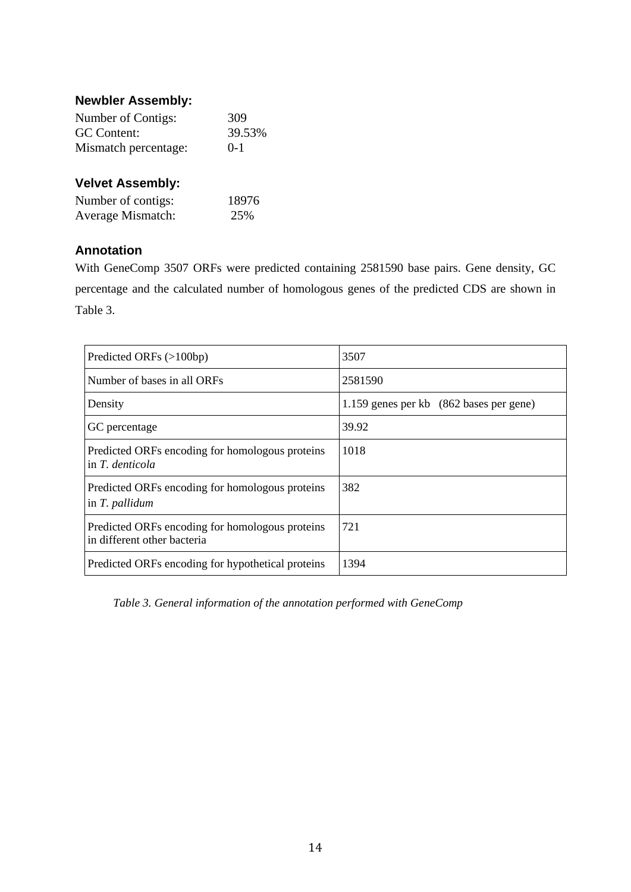### <span id="page-19-0"></span>**Newbler Assembly:**

| Number of Contigs:   | 309    |
|----------------------|--------|
| GC Content:          | 39.53% |
| Mismatch percentage: | $0-1$  |

### <span id="page-19-1"></span>**Velvet Assembly:**

| Number of contigs: | 18976 |
|--------------------|-------|
| Average Mismatch:  | 25%   |

### <span id="page-19-2"></span>**Annotation**

With GeneComp 3507 ORFs were predicted containing 2581590 base pairs. Gene density, GC percentage and the calculated number of homologous genes of the predicted CDS are shown in Table 3.

| Predicted ORFs (>100bp)                                                        | 3507                                    |
|--------------------------------------------------------------------------------|-----------------------------------------|
| Number of bases in all ORFs                                                    | 2581590                                 |
| Density                                                                        | 1.159 genes per kb (862 bases per gene) |
| GC percentage                                                                  | 39.92                                   |
| Predicted ORFs encoding for homologous proteins<br>in T. denticola             | 1018                                    |
| Predicted ORFs encoding for homologous proteins<br>in T. pallidum              | 382                                     |
| Predicted ORFs encoding for homologous proteins<br>in different other bacteria | 721                                     |
| Predicted ORFs encoding for hypothetical proteins                              | 1394                                    |

<span id="page-19-3"></span>*Table 3. General information of the annotation performed with GeneComp*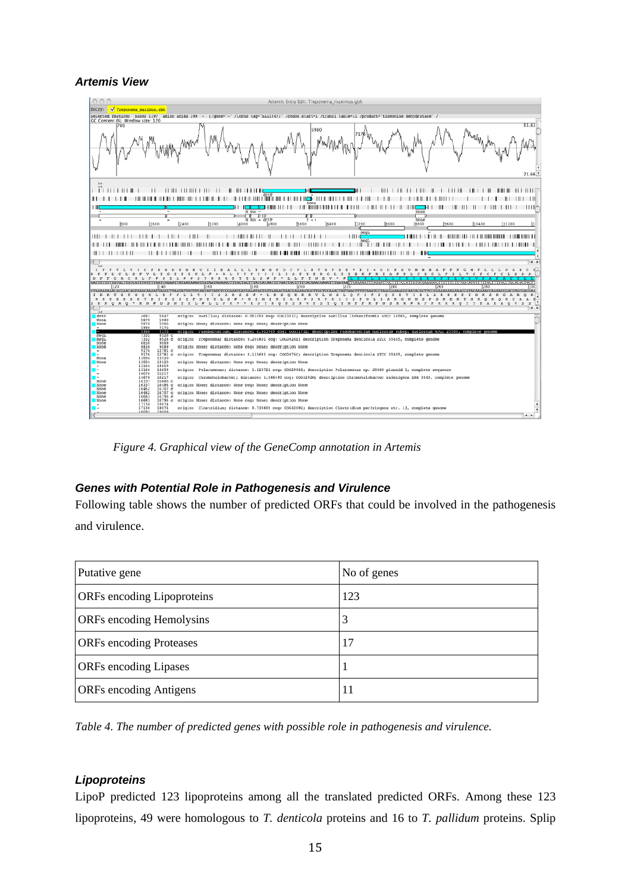#### *Artemis View*



*Figure 4. Graphical view of the GeneComp annotation in Artemis*

#### <span id="page-20-0"></span>*Genes with Potential Role in Pathogenesis and Virulence*

Following table shows the number of predicted ORFs that could be involved in the pathogenesis and virulence.

| Putative gene                     | No of genes |
|-----------------------------------|-------------|
| <b>ORFs</b> encoding Lipoproteins | 123         |
| <b>ORFs</b> encoding Hemolysins   | 3           |
| <b>ORFs</b> encoding Proteases    | 17          |
| <b>ORFs</b> encoding Lipases      |             |
| <b>ORFs</b> encoding Antigens     | 11          |

*Table 4. The number of predicted genes with possible role in pathogenesis and virulence.*

#### <span id="page-20-1"></span>*Lipoproteins*

LipoP predicted 123 lipoproteins among all the translated predicted ORFs. Among these 123 lipoproteins, 49 were homologous to *T. denticola* proteins and 16 to *T. pallidum* proteins. Splip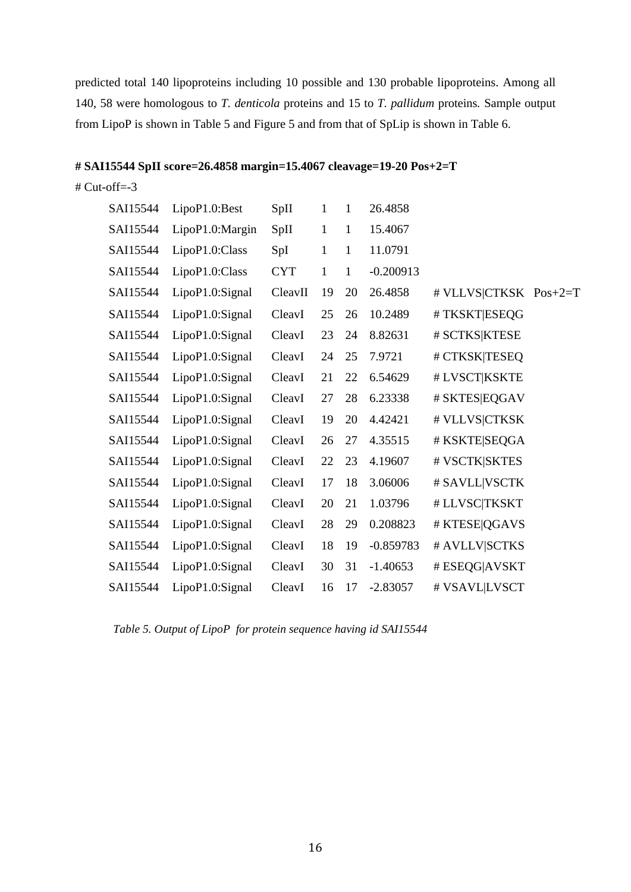predicted total 140 lipoproteins including 10 possible and 130 probable lipoproteins. Among all 140, 58 were homologous to *T. denticola* proteins and 15 to *T. pallidum* proteins*.* Sample output from LipoP is shown in Table 5 and Figure 5 and from that of SpLip is shown in Table 6.

#### **# SAI15544 SpII score=26.4858 margin=15.4067 cleavage=19-20 Pos+2=T**

 $#$  Cut-off=-3

| SAI15544 | LipoP1.0:Best   | SpII       | $\mathbf{1}$ | $\mathbf{1}$ | 26.4858     |                       |  |
|----------|-----------------|------------|--------------|--------------|-------------|-----------------------|--|
| SAI15544 | LipoP1.0:Margin | SpII       | $\mathbf{1}$ | $\mathbf{1}$ | 15.4067     |                       |  |
| SAI15544 | LipoP1.0:Class  | SpI        | $\mathbf{1}$ | $\mathbf{1}$ | 11.0791     |                       |  |
| SAI15544 | LipoP1.0:Class  | <b>CYT</b> | $\mathbf{1}$ | $\mathbf{1}$ | $-0.200913$ |                       |  |
| SAI15544 | LipoP1.0:Signal | CleavII    | 19           | 20           | 26.4858     | # VLLVS CTKSK Pos+2=T |  |
| SAI15544 | LipoP1.0:Signal | CleavI     | 25           | 26           | 10.2489     | #TKSKT ESEQG          |  |
| SAI15544 | LipoP1.0:Signal | CleavI     | 23           | 24           | 8.82631     | # SCTKS KTESE         |  |
| SAI15544 | LipoP1.0:Signal | CleavI     | 24           | 25           | 7.9721      | # CTKSK TESEQ         |  |
| SAI15544 | LipoP1.0:Signal | CleavI     | 21           | 22           | 6.54629     | # LVSCT KSKTE         |  |
| SAI15544 | LipoP1.0:Signal | CleavI     | 27           | 28           | 6.23338     | # SKTES EQGAV         |  |
| SAI15544 | LipoP1.0:Signal | CleavI     | 19           | 20           | 4.42421     | # VLLVS CTKSK         |  |
| SAI15544 | LipoP1.0:Signal | CleavI     | 26           | 27           | 4.35515     | # KSKTE SEQGA         |  |
| SAI15544 | LipoP1.0:Signal | CleavI     | 22           | 23           | 4.19607     | # VSCTK SKTES         |  |
| SAI15544 | LipoP1.0:Signal | CleavI     | 17           | 18           | 3.06006     | # SAVLL VSCTK         |  |
| SAI15544 | LipoP1.0:Signal | CleavI     | 20           | 21           | 1.03796     | # LLVSC TKSKT         |  |
| SAI15544 | LipoP1.0:Signal | CleavI     | 28           | 29           | 0.208823    | # KTESE QGAVS         |  |
| SAI15544 | LipoP1.0:Signal | CleavI     | 18           | 19           | $-0.859783$ | # AVLLV SCTKS         |  |
| SAI15544 | LipoP1.0:Signal | CleavI     | 30           | 31           | $-1.40653$  | # ESEQG AVSKT         |  |
| SAI15544 | LipoP1.0:Signal | CleavI     | 16           | 17           | $-2.83057$  | # VSAVL LVSCT         |  |
|          |                 |            |              |              |             |                       |  |

*Table 5. Output of LipoP for protein sequence having id SAI15544*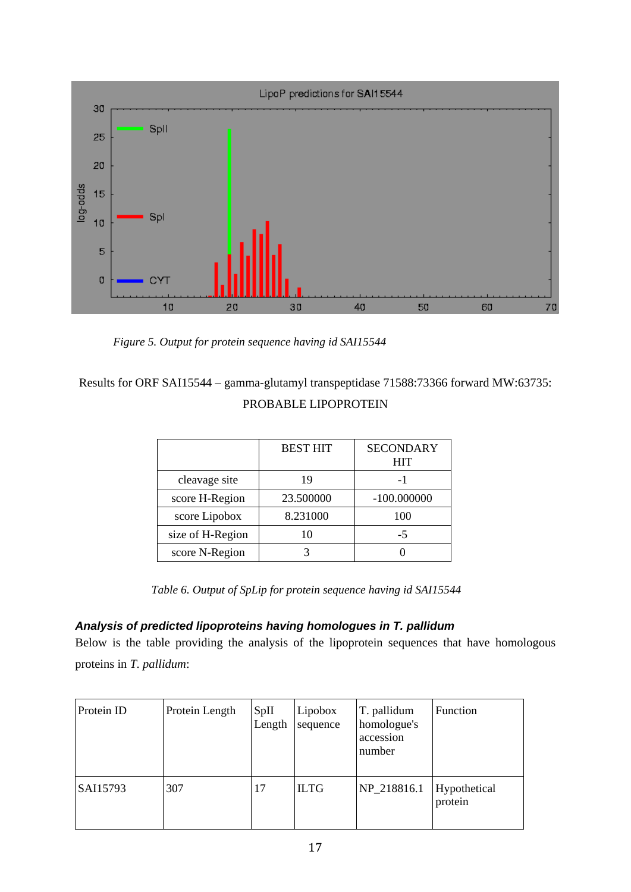

*Figure 5. Output for protein sequence having id SAI15544*

# Results for ORF SAI15544 – gamma-glutamyl transpeptidase 71588:73366 forward MW:63735: PROBABLE LIPOPROTEIN

|                  | <b>BEST HIT</b> | <b>SECONDARY</b><br><b>HIT</b> |
|------------------|-----------------|--------------------------------|
| cleavage site    | 19              | - 1                            |
| score H-Region   | 23.500000       | $-100.000000$                  |
| score Lipobox    | 8.231000        | 100                            |
| size of H-Region | 10              | -5                             |
| score N-Region   |                 |                                |

*Table 6. Output of SpLip for protein sequence having id SAI15544*

### <span id="page-22-0"></span>*Analysis of predicted lipoproteins having homologues in T. pallidum*

Below is the table providing the analysis of the lipoprotein sequences that have homologous proteins in *T. pallidum*:

| Protein ID | Protein Length | SpII<br>Length | Lipobox<br>sequence | T. pallidum<br>homologue's<br>accession<br>number | Function                |
|------------|----------------|----------------|---------------------|---------------------------------------------------|-------------------------|
| SAI15793   | 307            | 17             | <b>ILTG</b>         | NP_218816.1                                       | Hypothetical<br>protein |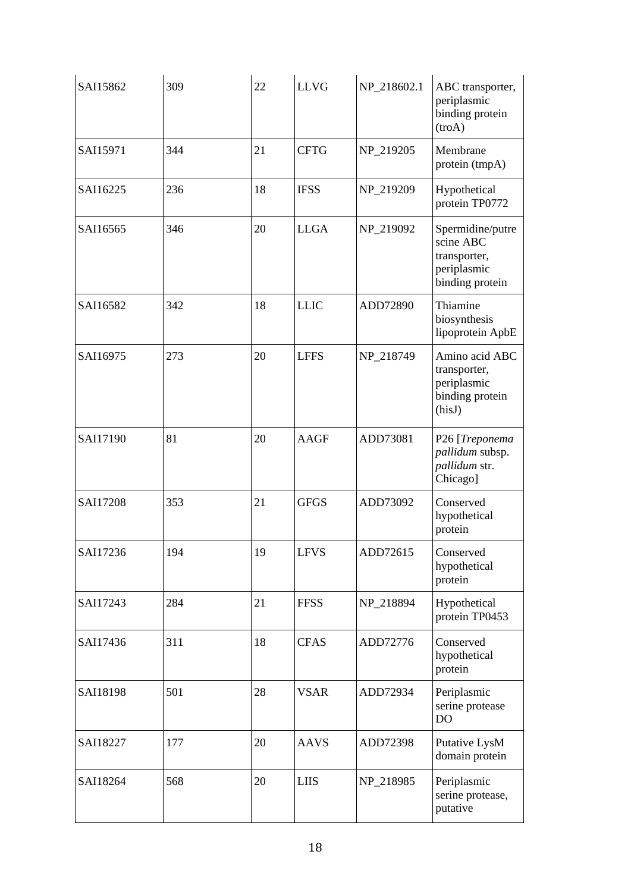| SAI15862 | 309 | 22 | <b>LLVG</b> | NP 218602.1 | ABC transporter,<br>periplasmic<br>binding protein<br>(troA)                    |
|----------|-----|----|-------------|-------------|---------------------------------------------------------------------------------|
| SAI15971 | 344 | 21 | <b>CFTG</b> | NP_219205   | Membrane<br>protein (tmpA)                                                      |
| SAI16225 | 236 | 18 | <b>IFSS</b> | NP_219209   | Hypothetical<br>protein TP0772                                                  |
| SAI16565 | 346 | 20 | <b>LLGA</b> | NP_219092   | Spermidine/putre<br>scine ABC<br>transporter,<br>periplasmic<br>binding protein |
| SAI16582 | 342 | 18 | <b>LLIC</b> | ADD72890    | Thiamine<br>biosynthesis<br>lipoprotein ApbE                                    |
| SAI16975 | 273 | 20 | <b>LFFS</b> | NP_218749   | Amino acid ABC<br>transporter,<br>periplasmic<br>binding protein<br>(hisJ)      |
| SAI17190 | 81  | 20 | <b>AAGF</b> | ADD73081    | P26 [Treponema<br>pallidum subsp.<br>pallidum str.<br>Chicago]                  |
| SAI17208 | 353 | 21 | <b>GFGS</b> | ADD73092    | Conserved<br>hypothetical<br>protein                                            |
| SAI17236 | 194 | 19 | <b>LFVS</b> | ADD72615    | Conserved<br>hypothetical<br>protein                                            |
| SAI17243 | 284 | 21 | <b>FFSS</b> | NP_218894   | Hypothetical<br>protein TP0453                                                  |
| SAI17436 | 311 | 18 | <b>CFAS</b> | ADD72776    | Conserved<br>hypothetical<br>protein                                            |
| SAI18198 | 501 | 28 | <b>VSAR</b> | ADD72934    | Periplasmic<br>serine protease<br>D <sub>O</sub>                                |
| SAI18227 | 177 | 20 | <b>AAVS</b> | ADD72398    | Putative LysM<br>domain protein                                                 |
| SAI18264 | 568 | 20 | <b>LIIS</b> | NP_218985   | Periplasmic<br>serine protease,<br>putative                                     |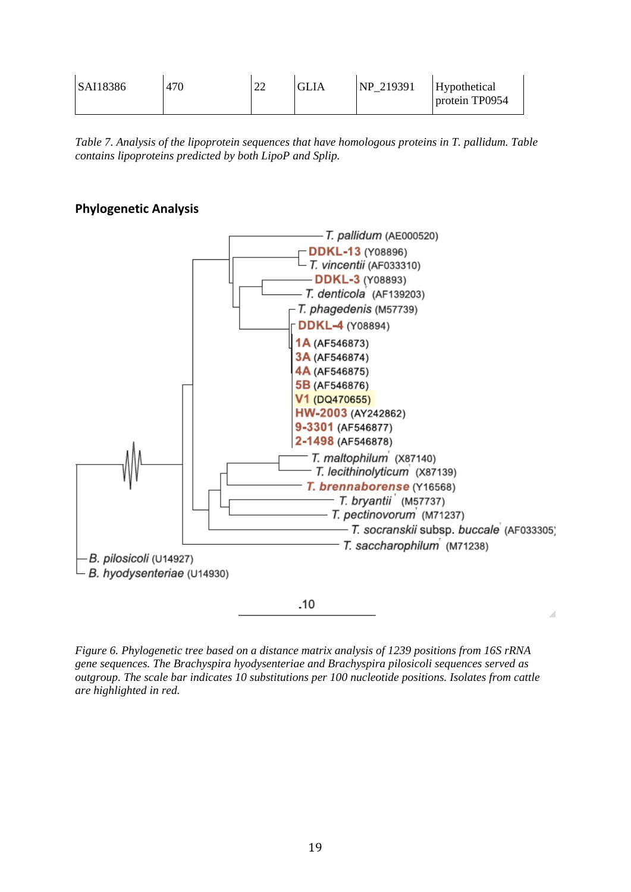| SAI18386 | 470 | $\cap$<br>∠∠ | <b>GLIA</b> | NP 219391 | Hypothetical<br>protein TP0954 |
|----------|-----|--------------|-------------|-----------|--------------------------------|
|----------|-----|--------------|-------------|-----------|--------------------------------|

<span id="page-24-0"></span>*Table 7. Analysis of the lipoprotein sequences that have homologous proteins in T. pallidum. Table contains lipoproteins predicted by both LipoP and Splip.*

### **Phylogenetic Analysis**



<span id="page-24-1"></span>*Figure 6. Phylogenetic tree based on a distance matrix analysis of 1239 positions from 16S rRNA gene sequences. The Brachyspira hyodysenteriae and Brachyspira pilosicoli sequences served as outgroup. The scale bar indicates 10 substitutions per 100 nucleotide positions. Isolates from cattle are highlighted in red.*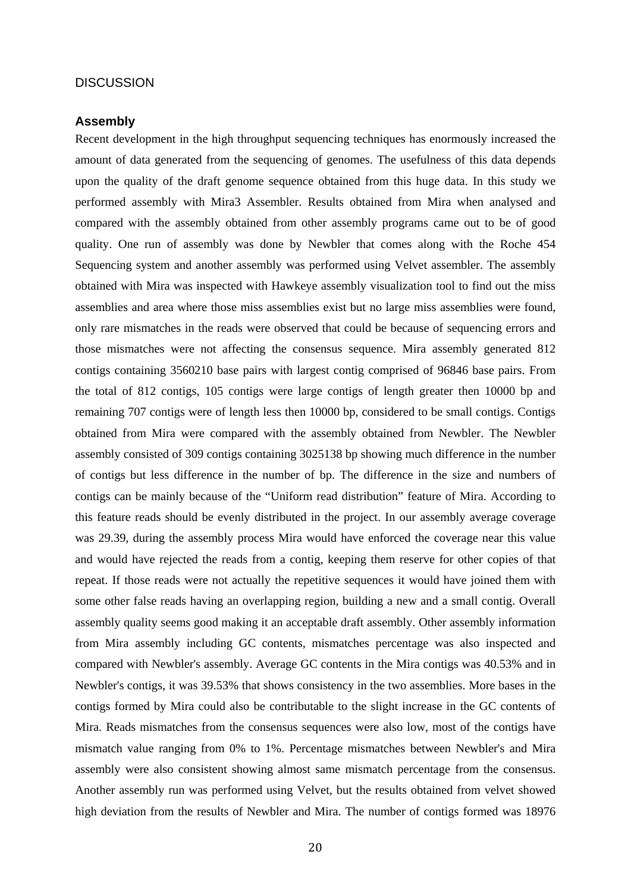#### **DISCUSSION**

#### <span id="page-25-0"></span>**Assembly**

Recent development in the high throughput sequencing techniques has enormously increased the amount of data generated from the sequencing of genomes. The usefulness of this data depends upon the quality of the draft genome sequence obtained from this huge data. In this study we performed assembly with Mira3 Assembler. Results obtained from Mira when analysed and compared with the assembly obtained from other assembly programs came out to be of good quality. One run of assembly was done by Newbler that comes along with the Roche 454 Sequencing system and another assembly was performed using Velvet assembler. The assembly obtained with Mira was inspected with Hawkeye assembly visualization tool to find out the miss assemblies and area where those miss assemblies exist but no large miss assemblies were found, only rare mismatches in the reads were observed that could be because of sequencing errors and those mismatches were not affecting the consensus sequence. Mira assembly generated 812 contigs containing 3560210 base pairs with largest contig comprised of 96846 base pairs. From the total of 812 contigs, 105 contigs were large contigs of length greater then 10000 bp and remaining 707 contigs were of length less then 10000 bp, considered to be small contigs. Contigs obtained from Mira were compared with the assembly obtained from Newbler. The Newbler assembly consisted of 309 contigs containing 3025138 bp showing much difference in the number of contigs but less difference in the number of bp. The difference in the size and numbers of contigs can be mainly because of the "Uniform read distribution" feature of Mira. According to this feature reads should be evenly distributed in the project. In our assembly average coverage was 29.39, during the assembly process Mira would have enforced the coverage near this value and would have rejected the reads from a contig, keeping them reserve for other copies of that repeat. If those reads were not actually the repetitive sequences it would have joined them with some other false reads having an overlapping region, building a new and a small contig. Overall assembly quality seems good making it an acceptable draft assembly. Other assembly information from Mira assembly including GC contents, mismatches percentage was also inspected and compared with Newbler's assembly. Average GC contents in the Mira contigs was 40.53% and in Newbler's contigs, it was 39.53% that shows consistency in the two assemblies. More bases in the contigs formed by Mira could also be contributable to the slight increase in the GC contents of Mira. Reads mismatches from the consensus sequences were also low, most of the contigs have mismatch value ranging from 0% to 1%. Percentage mismatches between Newbler's and Mira assembly were also consistent showing almost same mismatch percentage from the consensus. Another assembly run was performed using Velvet, but the results obtained from velvet showed high deviation from the results of Newbler and Mira. The number of contigs formed was 18976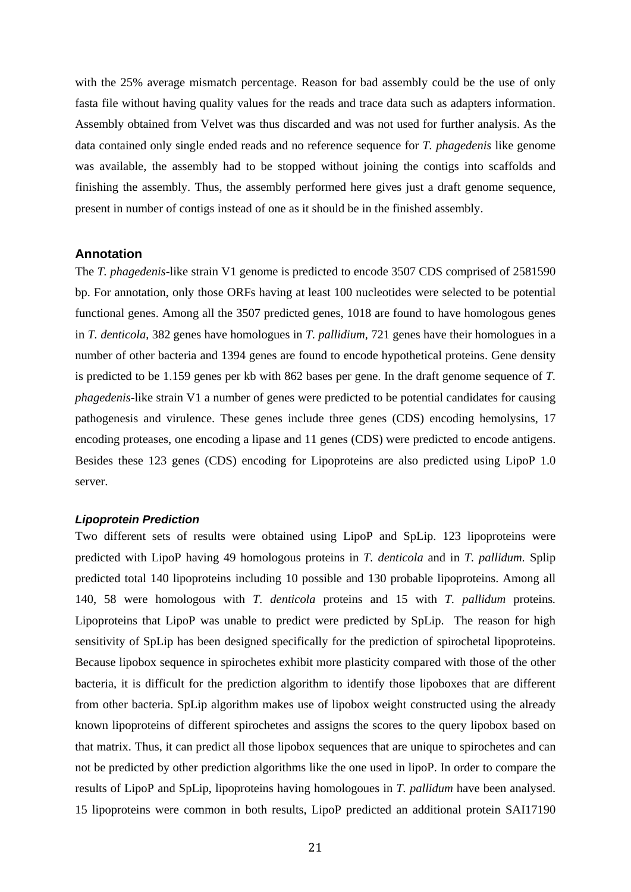with the 25% average mismatch percentage. Reason for bad assembly could be the use of only fasta file without having quality values for the reads and trace data such as adapters information. Assembly obtained from Velvet was thus discarded and was not used for further analysis. As the data contained only single ended reads and no reference sequence for *T. phagedenis* like genome was available, the assembly had to be stopped without joining the contigs into scaffolds and finishing the assembly. Thus, the assembly performed here gives just a draft genome sequence, present in number of contigs instead of one as it should be in the finished assembly.

#### <span id="page-26-0"></span>**Annotation**

The *T. phagedenis*-like strain V1 genome is predicted to encode 3507 CDS comprised of 2581590 bp. For annotation, only those ORFs having at least 100 nucleotides were selected to be potential functional genes. Among all the 3507 predicted genes, 1018 are found to have homologous genes in *T. denticola*, 382 genes have homologues in *T. pallidium*, 721 genes have their homologues in a number of other bacteria and 1394 genes are found to encode hypothetical proteins. Gene density is predicted to be 1.159 genes per kb with 862 bases per gene. In the draft genome sequence of *T. phagedenis*-like strain V1 a number of genes were predicted to be potential candidates for causing pathogenesis and virulence. These genes include three genes (CDS) encoding hemolysins, 17 encoding proteases, one encoding a lipase and 11 genes (CDS) were predicted to encode antigens. Besides these 123 genes (CDS) encoding for Lipoproteins are also predicted using LipoP 1.0 server.

#### <span id="page-26-1"></span>*Lipoprotein Prediction*

Two different sets of results were obtained using LipoP and SpLip. 123 lipoproteins were predicted with LipoP having 49 homologous proteins in *T. denticola* and in *T. pallidum.* Splip predicted total 140 lipoproteins including 10 possible and 130 probable lipoproteins. Among all 140, 58 were homologous with *T. denticola* proteins and 15 with *T. pallidum* proteins*.*  Lipoproteins that LipoP was unable to predict were predicted by SpLip. The reason for high sensitivity of SpLip has been designed specifically for the prediction of spirochetal lipoproteins. Because lipobox sequence in spirochetes exhibit more plasticity compared with those of the other bacteria, it is difficult for the prediction algorithm to identify those lipoboxes that are different from other bacteria. SpLip algorithm makes use of lipobox weight constructed using the already known lipoproteins of different spirochetes and assigns the scores to the query lipobox based on that matrix. Thus, it can predict all those lipobox sequences that are unique to spirochetes and can not be predicted by other prediction algorithms like the one used in lipoP. In order to compare the results of LipoP and SpLip, lipoproteins having homologoues in *T. pallidum* have been analysed. 15 lipoproteins were common in both results, LipoP predicted an additional protein SAI17190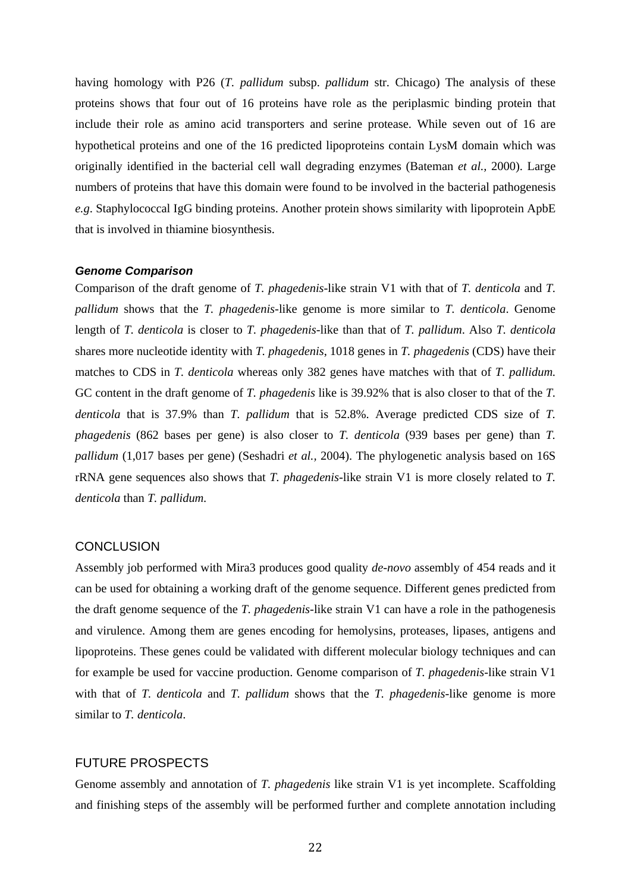having homology with P26 (*T. pallidum* subsp. *pallidum* str. Chicago) The analysis of these proteins shows that four out of 16 proteins have role as the periplasmic binding protein that include their role as amino acid transporters and serine protease. While seven out of 16 are hypothetical proteins and one of the 16 predicted lipoproteins contain LysM domain which was originally identified in the bacterial cell wall degrading enzymes (Bateman *et al.,* 2000). Large numbers of proteins that have this domain were found to be involved in the bacterial pathogenesis *e.g*. Staphylococcal IgG binding proteins. Another protein shows similarity with lipoprotein ApbE that is involved in thiamine biosynthesis.

#### <span id="page-27-0"></span>*Genome Comparison*

Comparison of the draft genome of *T. phagedenis*-like strain V1 with that of *T. denticola* and *T. pallidum* shows that the *T. phagedenis*-like genome is more similar to *T. denticola*. Genome length of *T. denticola* is closer to *T. phagedenis*-like than that of *T. pallidum*. Also *T. denticola* shares more nucleotide identity with *T. phagedenis*, 1018 genes in *T. phagedenis* (CDS) have their matches to CDS in *T. denticola* whereas only 382 genes have matches with that of *T. pallidum.*  GC content in the draft genome of *T. phagedenis* like is 39.92% that is also closer to that of the *T. denticola* that is 37.9% than *T. pallidum* that is 52.8%. Average predicted CDS size of *T. phagedenis* (862 bases per gene) is also closer to *T. denticola* (939 bases per gene) than *T. pallidum* (1,017 bases per gene) (Seshadri *et al.,* 2004). The phylogenetic analysis based on 16S rRNA gene sequences also shows that *T. phagedenis-*like strain V1 is more closely related to *T. denticola* than *T. pallidum.*

#### <span id="page-27-1"></span>**CONCLUSION**

Assembly job performed with Mira3 produces good quality *de-novo* assembly of 454 reads and it can be used for obtaining a working draft of the genome sequence. Different genes predicted from the draft genome sequence of the *T. phagedenis*-like strain V1 can have a role in the pathogenesis and virulence. Among them are genes encoding for hemolysins, proteases, lipases, antigens and lipoproteins. These genes could be validated with different molecular biology techniques and can for example be used for vaccine production. Genome comparison of *T. phagedenis*-like strain V1 with that of *T. denticola* and *T. pallidum* shows that the *T. phagedenis*-like genome is more similar to *T. denticola*.

#### <span id="page-27-2"></span>FUTURE PROSPECTS

Genome assembly and annotation of *T. phagedenis* like strain V1 is yet incomplete. Scaffolding and finishing steps of the assembly will be performed further and complete annotation including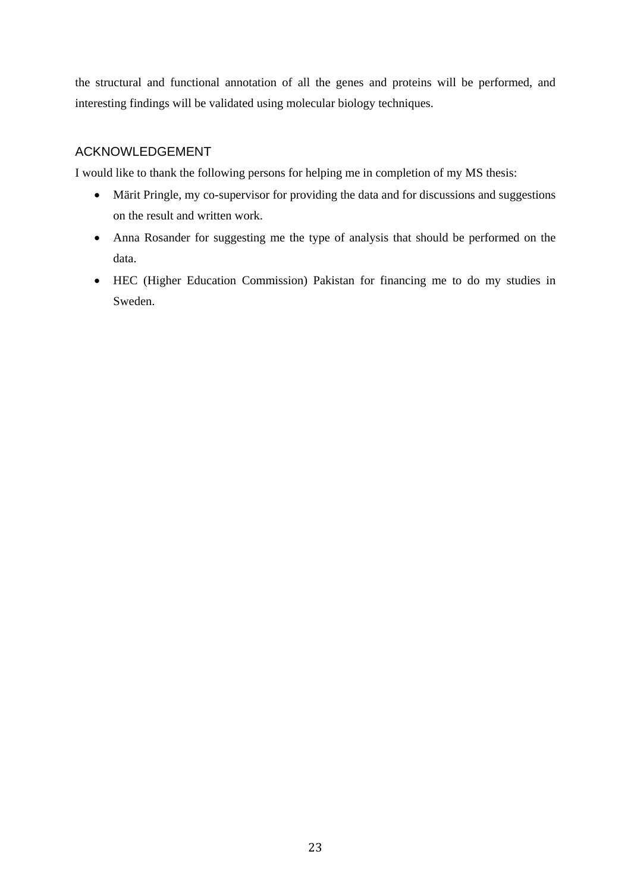the structural and functional annotation of all the genes and proteins will be performed, and interesting findings will be validated using molecular biology techniques.

### <span id="page-28-0"></span>ACKNOWLEDGEMENT

I would like to thank the following persons for helping me in completion of my MS thesis:

- Märit Pringle, my co-supervisor for providing the data and for discussions and suggestions on the result and written work.
- Anna Rosander for suggesting me the type of analysis that should be performed on the data.
- HEC (Higher Education Commission) Pakistan for financing me to do my studies in Sweden.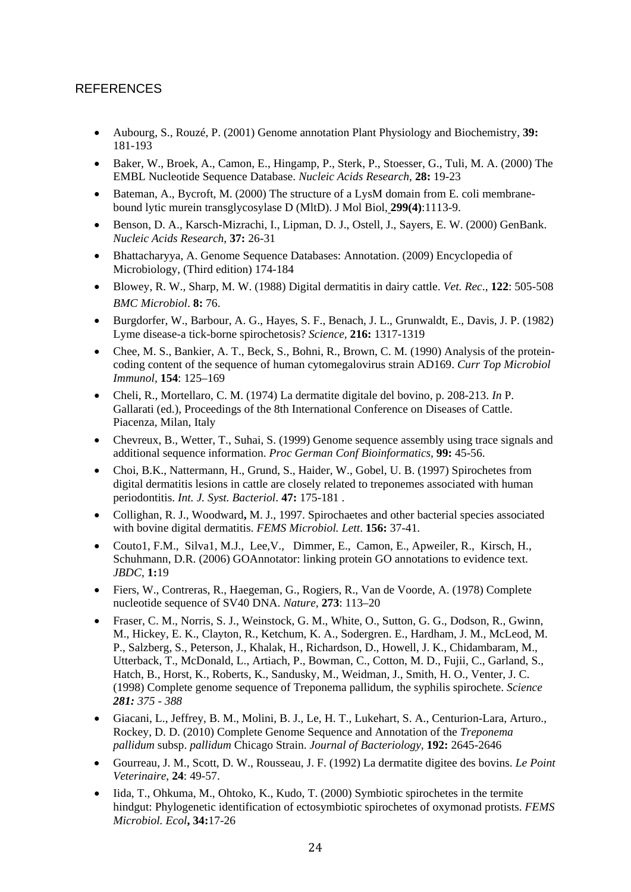### <span id="page-29-0"></span>**REFERENCES**

- Aubourg, S., Rouzé, P. (2001) Genome annotation Plant Physiology and Biochemistry, **39:** 181-193
- Baker, W., Broek, A., Camon, E., Hingamp, P., Sterk, P., Stoesser, G., Tuli, M. A. (2000) The EMBL Nucleotide Sequence Database. *Nucleic Acids Research*, **28:** 19-23
- Bateman, A., Bycroft, M. (2000) The structure of a LysM domain from E. coli membranebound lytic murein transglycosylase D (MltD). J Mol Biol, **299(4)**:1113-9.
- Benson, D. A., Karsch-Mizrachi, I., Lipman, D. J., Ostell, J., Sayers, E. W. (2000) GenBank. *Nucleic Acids Research*, **37:** 26-31
- Bhattacharyya, A. Genome Sequence Databases: Annotation. (2009) Encyclopedia of Microbiology, (Third edition) 174-184
- Blowey, R. W., Sharp, M. W. (1988) Digital dermatitis in dairy cattle. *Vet. Rec*., **122**: 505-508 *BMC Microbiol*. **8:** 76.
- Burgdorfer, W., Barbour, A. G., Hayes, S. F., Benach, J. L., Grunwaldt, E., Davis, J. P. (1982) Lyme disease-a tick-borne spirochetosis? *Science,* **216:** 1317-1319
- Chee, M. S., Bankier, A. T., Beck, S., Bohni, R., Brown, C. M. (1990) Analysis of the proteincoding content of the sequence of human cytomegalovirus strain AD169. *Curr Top Microbiol Immunol,* **154**: 125–169
- Cheli, R., Mortellaro, C. M. (1974) La dermatite digitale del bovino, p. 208-213. *In* P. Gallarati (ed.), Proceedings of the 8th International Conference on Diseases of Cattle. Piacenza, Milan, Italy
- Chevreux, B., Wetter, T., Suhai, S. (1999) Genome sequence assembly using trace signals and additional sequence information. *Proc German Conf Bioinformatics,* **99:** 45-56.
- Choi, B.K., Nattermann, H., Grund, S., Haider, W., Gobel, U. B. (1997) Spirochetes from digital dermatitis lesions in cattle are closely related to treponemes associated with human periodontitis. *Int. J. Syst. Bacteriol*. **47:** 175-181 .
- Collighan, R. J., Woodward**,** M. J., 1997. Spirochaetes and other bacterial species associated with bovine digital dermatitis. *FEMS Microbiol. Lett*. **156:** 37-41.
- Couto1, F.M., Silva1, M.J., Lee,V., Dimmer, E., Camon, E., Apweiler, R., Kirsch, H., Schuhmann, D.R. (2006) GOAnnotator: linking protein GO annotations to evidence text. *JBDC*, **1:**19
- Fiers, W., Contreras, R., Haegeman, G., Rogiers, R., Van de Voorde, A. (1978) Complete nucleotide sequence of SV40 DNA. *Nature,* **273**: 113–20
- Fraser, C. M., Norris, S. J., Weinstock, G. M., White, O., Sutton, G. G., Dodson, R., Gwinn, M., Hickey, E. K., Clayton, R., Ketchum, K. A., Sodergren. E., Hardham, J. M., McLeod, M. P., Salzberg, S., Peterson, J., Khalak, H., Richardson, D., Howell, J. K., Chidambaram, M., Utterback, T., McDonald, L., Artiach, P., Bowman, C., Cotton, M. D., Fujii, C., Garland, S., Hatch, B., Horst, K., Roberts, K., Sandusky, M., Weidman, J., Smith, H. O., Venter, J. C. (1998) Complete genome sequence of Treponema pallidum, the syphilis spirochete. *Science 281: 375 - 388*
- Giacani, L., Jeffrey, B. M., Molini, B. J., Le, H. T., Lukehart, S. A., Centurion-Lara, Arturo., Rockey, D. D. (2010) Complete Genome Sequence and Annotation of the *Treponema pallidum* subsp. *pallidum* Chicago Strain. *Journal of Bacteriology,* **192:** 2645-2646
- Gourreau, J. M., Scott, D. W., Rousseau, J. F. (1992) La dermatite digitee des bovins. *Le Point Veterinaire*, **24**: 49-57.
- Iida, T., Ohkuma, M., Ohtoko, K., Kudo, T. (2000) Symbiotic spirochetes in the termite hindgut: Phylogenetic identification of ectosymbiotic spirochetes of oxymonad protists. *FEMS Microbiol. Ecol***, 34:**17-26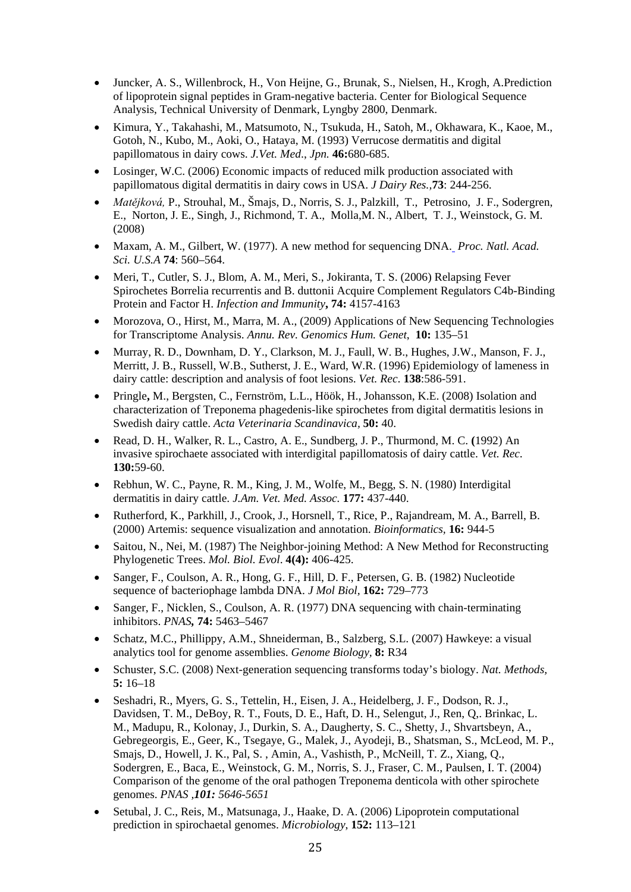- Juncker, A. S., Willenbrock, H., Von Heijne, G., Brunak, S., Nielsen, H., Krogh, A.Prediction of lipoprotein signal peptides in Gram-negative bacteria. Center for Biological Sequence Analysis, Technical University of Denmark, Lyngby 2800, Denmark.
- Kimura, Y., Takahashi, M., Matsumoto, N., Tsukuda, H., Satoh, M., Okhawara, K., Kaoe, M., Gotoh, N., Kubo, M., Aoki, O., Hataya, M. (1993) Verrucose dermatitis and digital papillomatous in dairy cows. *J.Vet. Med*., *Jpn.* **46:**680-685.
- Losinger, W.C. (2006) Economic impacts of reduced milk production associated with papillomatous digital dermatitis in dairy cows in USA. *J Dairy Res.,***73**: 244-256.
- *Matějková,* P., Strouhal, M., Šmajs, D., Norris, S. J., Palzkill, T., Petrosino, J. F., Sodergren, E., Norton, J. E., Singh, J., Richmond, T. A., Molla,M. N., Albert, T. J., Weinstock, G. M. (2008)
- Maxam, A. M., Gilbert, W. (1977). A new method for sequencing DNA. *Proc. Natl. Acad. Sci. U.S.A* **74**: 560–564.
- Meri, T., Cutler, S. J., Blom, A. M., Meri, S., Jokiranta, T. S. (2006) Relapsing Fever Spirochetes Borrelia recurrentis and B. duttonii Acquire Complement Regulators C4b-Binding Protein and Factor H. *Infection and Immunity***, 74:** 4157-4163
- Morozova, O., Hirst, M., Marra, M. A., (2009) Applications of New Sequencing Technologies for Transcriptome Analysis. *Annu. Rev. Genomics Hum. Genet*, **10:** 135–51
- Murray, R. D., Downham, D. Y., Clarkson, M. J., Faull, W. B., Hughes, J.W., Manson, F. J., Merritt, J. B., Russell, W.B., Sutherst, J. E., Ward, W.R. (1996) Epidemiology of lameness in dairy cattle: description and analysis of foot lesions. *Vet. Rec*. **138**:586-591.
- Pringle**,** M., Bergsten, C., Fernström, L.L., Höök, H., Johansson, K.E. (2008) Isolation and characterization of Treponema phagedenis-like spirochetes from digital dermatitis lesions in Swedish dairy cattle. *Acta Veterinaria Scandinavica,* **50:** 40.
- Read, D. H., Walker, R. L., Castro, A. E., Sundberg, J. P., Thurmond, M. C. **(**1992) An invasive spirochaete associated with interdigital papillomatosis of dairy cattle. *Vet. Rec*. **130:**59-60.
- Rebhun, W. C., Payne, R. M., King, J. M., Wolfe, M., Begg, S. N. (1980) Interdigital dermatitis in dairy cattle. *J.Am. Vet. Med. Assoc.* **177:** 437-440.
- Rutherford, K., Parkhill, J., Crook, J., Horsnell, T., Rice, P., Rajandream, M. A., Barrell, B. (2000) Artemis: sequence visualization and annotation. *Bioinformatics,* **16:** 944-5
- Saitou, N., Nei, M. (1987) The Neighbor-joining Method: A New Method for Reconstructing Phylogenetic Trees. *Mol. Biol. Evol*. **4(4):** 406-425.
- Sanger, F., Coulson, A. R., Hong, G. F., Hill, D. F., Petersen, G. B. (1982) Nucleotide sequence of bacteriophage lambda DNA. *J Mol Biol,* **162:** 729–773
- Sanger, F., Nicklen, S., Coulson, A. R. (1977) DNA sequencing with chain-terminating inhibitors. *PNAS,* **74:** 5463–5467
- Schatz, M.C., Phillippy, A.M., Shneiderman, B., Salzberg, S.L. (2007) Hawkeye: a visual analytics tool for genome assemblies. *Genome Biology,* **8:** R34
- Schuster, S.C. (2008) Next-generation sequencing transforms today's biology. *Nat. Methods,* **5:** 16–18
- Seshadri, R., Myers, G. S., Tettelin, H., Eisen, J. A., Heidelberg, J. F., Dodson, R. J., Davidsen, T. M., DeBoy, R. T., Fouts, D. E., Haft, D. H., Selengut, J., Ren, Q,. Brinkac, L. M., Madupu, R., Kolonay, J., Durkin, S. A., Daugherty, S. C., Shetty, J., Shvartsbeyn, A., Gebregeorgis, E., Geer, K., Tsegaye, G., Malek, J., Ayodeji, B., Shatsman, S., McLeod, M. P., Smajs, D., Howell, J. K., Pal, S. , Amin, A., Vashisth, P., McNeill, T. Z., Xiang, Q., Sodergren, E., Baca, E., Weinstock, G. M., Norris, S. J., Fraser, C. M., Paulsen, I. T. (2004) Comparison of the genome of the oral pathogen Treponema denticola with other spirochete genomes. *PNAS ,101: 5646-5651*
- Setubal, J. C., Reis, M., Matsunaga, J., Haake, D. A. (2006) Lipoprotein computational prediction in spirochaetal genomes. *Microbiology*, **152:** 113–121